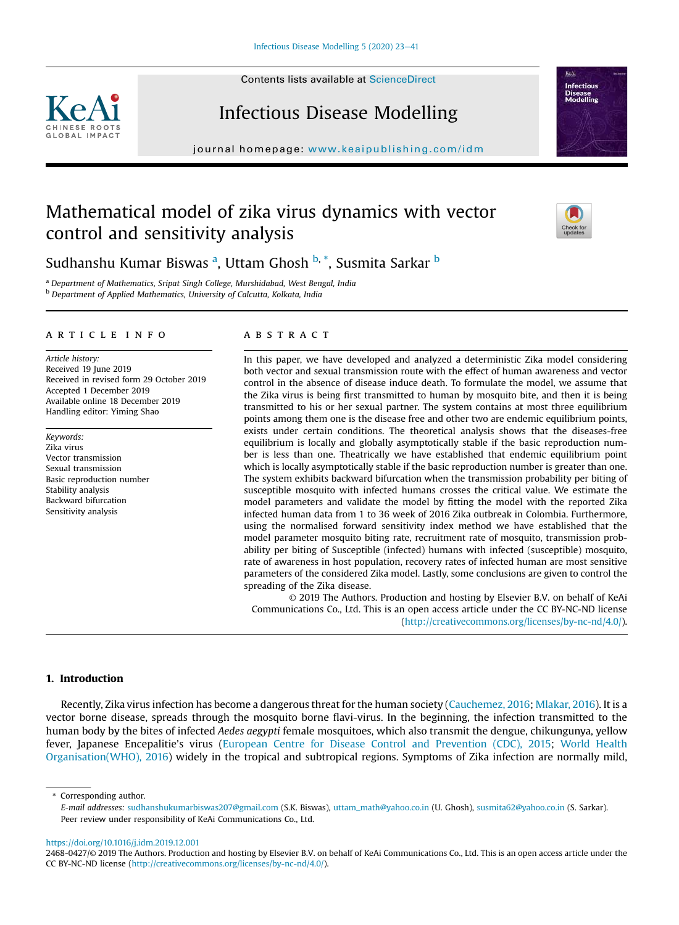Contents lists available at ScienceDirect





# Infectious Disease Modelling

journal homepage: www.keaipublishing.com/idm

## Mathematical model of zika virus dynamics with vector control and sensitivity analysis



## Sudhanshu Kumar Biswas <sup>a</sup>, Uttam Ghosh <sup>b, \*</sup>, Susmita Sarkar <sup>b</sup>

<sup>a</sup> *Department of Mathematics, Sripat Singh College, Murshidabad, West Bengal, India* <sup>b</sup> *Department of Applied Mathematics, University of Calcutta, Kolkata, India*

#### article info

*Article history:* Received 19 June 2019 Received in revised form 29 October 2019 Accepted 1 December 2019 Available online 18 December 2019 Handling editor: Yiming Shao

*Keywords:* Zika virus Vector transmission Sexual transmission Basic reproduction number Stability analysis Backward bifurcation Sensitivity analysis

## **ABSTRACT**

In this paper, we have developed and analyzed a deterministic Zika model considering both vector and sexual transmission route with the effect of human awareness and vector control in the absence of disease induce death. To formulate the model, we assume that the Zika virus is being first transmitted to human by mosquito bite, and then it is being transmitted to his or her sexual partner. The system contains at most three equilibrium points among them one is the disease free and other two are endemic equilibrium points, exists under certain conditions. The theoretical analysis shows that the diseases-free equilibrium is locally and globally asymptotically stable if the basic reproduction number is less than one. Theatrically we have established that endemic equilibrium point which is locally asymptotically stable if the basic reproduction number is greater than one. The system exhibits backward bifurcation when the transmission probability per biting of susceptible mosquito with infected humans crosses the critical value. We estimate the model parameters and validate the model by fitting the model with the reported Zika infected human data from 1 to 36 week of 2016 Zika outbreak in Colombia. Furthermore, using the normalised forward sensitivity index method we have established that the model parameter mosquito biting rate, recruitment rate of mosquito, transmission probability per biting of Susceptible (infected) humans with infected (susceptible) mosquito, rate of awareness in host population, recovery rates of infected human are most sensitive parameters of the considered Zika model. Lastly, some conclusions are given to control the spreading of the Zika disease.

© 2019 The Authors. Production and hosting by Elsevier B.V. on behalf of KeAi Communications Co., Ltd. This is an open access article under the CC BY-NC-ND license (http://creativecommons.org/licenses/by-nc-nd/4.0/).

## 1. Introduction

Recently, Zika virus infection has become a dangerous threat for the human society (Cauchemez, 2016; Mlakar, 2016). It is a vector borne disease, spreads through the mosquito borne flavi-virus. In the beginning, the infection transmitted to the human body by the bites of infected *Aedes aegypti* female mosquitoes, which also transmit the dengue, chikungunya, yellow fever, Japanese Encepalitie's virus (European Centre for Disease Control and Prevention (CDC), 2015; World Health Organisation(WHO), 2016) widely in the tropical and subtropical regions. Symptoms of Zika infection are normally mild,

#### https://doi.org/10.1016/j.idm.2019.12.001

<sup>\*</sup> Corresponding author.

*E-mail addresses:* sudhanshukumarbiswas207@gmail.com (S.K. Biswas), uttam\_math@yahoo.co.in (U. Ghosh), susmita62@yahoo.co.in (S. Sarkar). Peer review under responsibility of KeAi Communications Co., Ltd.

<sup>2468-0427/</sup>© 2019 The Authors. Production and hosting by Elsevier B.V. on behalf of KeAi Communications Co., Ltd. This is an open access article under the CC BY-NC-ND license (http://creativecommons.org/licenses/by-nc-nd/4.0/).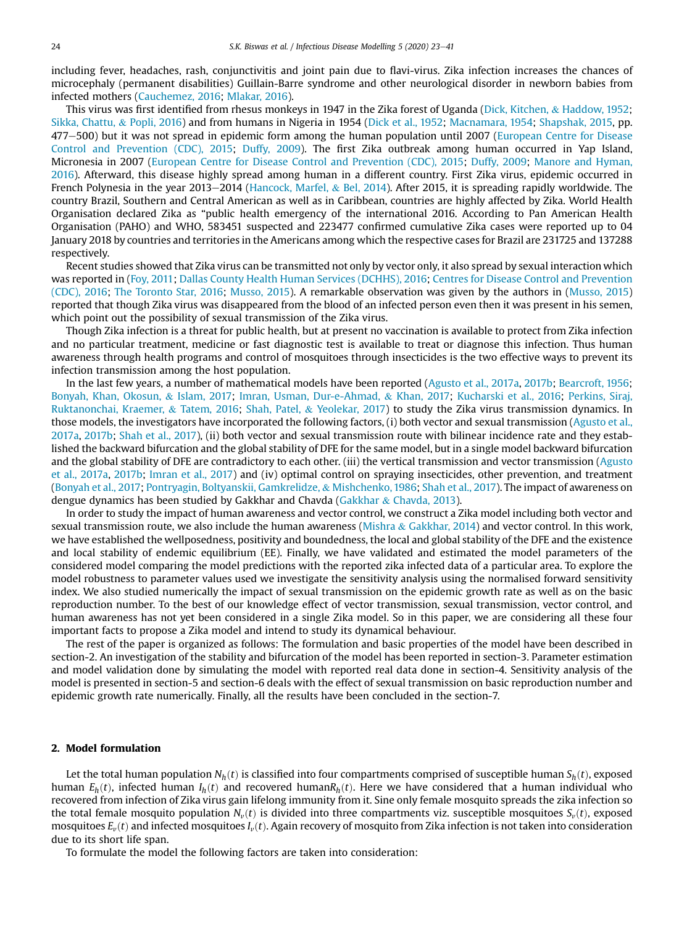including fever, headaches, rash, conjunctivitis and joint pain due to flavi-virus. Zika infection increases the chances of microcephaly (permanent disabilities) Guillain-Barre syndrome and other neurological disorder in newborn babies from infected mothers (Cauchemez, 2016; Mlakar, 2016).

This virus was first identified from rhesus monkeys in 1947 in the Zika forest of Uganda (Dick, Kitchen, & Haddow, 1952; Sikka, Chattu, & Popli, 2016) and from humans in Nigeria in 1954 (Dick et al., 1952; Macnamara, 1954; Shapshak, 2015, pp. 477–500) but it was not spread in epidemic form among the human population until 2007 (European Centre for Disease Control and Prevention (CDC), 2015; Duffy, 2009). The first Zika outbreak among human occurred in Yap Island, Micronesia in 2007 (European Centre for Disease Control and Prevention (CDC), 2015; Duffy, 2009; Manore and Hyman, 2016). Afterward, this disease highly spread among human in a different country. First Zika virus, epidemic occurred in French Polynesia in the year 2013–2014 (Hancock, Marfel, & Bel, 2014). After 2015, it is spreading rapidly worldwide. The country Brazil, Southern and Central American as well as in Caribbean, countries are highly affected by Zika. World Health Organisation declared Zika as "public health emergency of the international 2016. According to Pan American Health Organisation (PAHO) and WHO, 583451 suspected and 223477 confirmed cumulative Zika cases were reported up to 04 January 2018 by countries and territories in the Americans among which the respective cases for Brazil are 231725 and 137288 respectively.

Recent studies showed that Zika virus can be transmitted not only by vector only, it also spread by sexual interaction which was reported in (Foy, 2011; Dallas County Health Human Services (DCHHS), 2016; Centres for Disease Control and Prevention (CDC), 2016; The Toronto Star, 2016; Musso, 2015). A remarkable observation was given by the authors in (Musso, 2015) reported that though Zika virus was disappeared from the blood of an infected person even then it was present in his semen, which point out the possibility of sexual transmission of the Zika virus.

Though Zika infection is a threat for public health, but at present no vaccination is available to protect from Zika infection and no particular treatment, medicine or fast diagnostic test is available to treat or diagnose this infection. Thus human awareness through health programs and control of mosquitoes through insecticides is the two effective ways to prevent its infection transmission among the host population.

In the last few years, a number of mathematical models have been reported (Agusto et al., 2017a, 2017b; Bearcroft, 1956; Bonyah, Khan, Okosun, & Islam, 2017; Imran, Usman, Dur-e-Ahmad, & Khan, 2017; Kucharski et al., 2016; Perkins, Siraj, Ruktanonchai, Kraemer, & Tatem, 2016; Shah, Patel, & Yeolekar, 2017) to study the Zika virus transmission dynamics. In those models, the investigators have incorporated the following factors, (i) both vector and sexual transmission (Agusto et al., 2017a, 2017b; Shah et al., 2017), (ii) both vector and sexual transmission route with bilinear incidence rate and they established the backward bifurcation and the global stability of DFE for the same model, but in a single model backward bifurcation and the global stability of DFE are contradictory to each other. (iii) the vertical transmission and vector transmission (Agusto et al., 2017a, 2017b; Imran et al., 2017) and (iv) optimal control on spraying insecticides, other prevention, and treatment (Bonyah et al., 2017; Pontryagin, Boltyanskii, Gamkrelidze, & Mishchenko, 1986; Shah et al., 2017). The impact of awareness on dengue dynamics has been studied by Gakkhar and Chavda (Gakkhar & Chavda, 2013).

In order to study the impact of human awareness and vector control, we construct a Zika model including both vector and sexual transmission route, we also include the human awareness (Mishra & Gakkhar, 2014) and vector control. In this work, we have established the wellposedness, positivity and boundedness, the local and global stability of the DFE and the existence and local stability of endemic equilibrium (EE). Finally, we have validated and estimated the model parameters of the considered model comparing the model predictions with the reported zika infected data of a particular area. To explore the model robustness to parameter values used we investigate the sensitivity analysis using the normalised forward sensitivity index. We also studied numerically the impact of sexual transmission on the epidemic growth rate as well as on the basic reproduction number. To the best of our knowledge effect of vector transmission, sexual transmission, vector control, and human awareness has not yet been considered in a single Zika model. So in this paper, we are considering all these four important facts to propose a Zika model and intend to study its dynamical behaviour.

The rest of the paper is organized as follows: The formulation and basic properties of the model have been described in section-2. An investigation of the stability and bifurcation of the model has been reported in section-3. Parameter estimation and model validation done by simulating the model with reported real data done in section-4. Sensitivity analysis of the model is presented in section-5 and section-6 deals with the effect of sexual transmission on basic reproduction number and epidemic growth rate numerically. Finally, all the results have been concluded in the section-7.

## 2. Model formulation

Let the total human population  $N_h(t)$  is classified into four compartments comprised of susceptible human  $S_h(t)$ , exposed human  $E_h(t)$ , infected human  $I_h(t)$  and recovered human $R_h(t)$ . Here we have considered that a human individual who recovered from infection of Zika virus gain lifelong immunity from it. Sine only female mosquito spreads the zika infection so the total female mosquito population  $N_v(t)$  is divided into three compartments viz. susceptible mosquitoes  $S_v(t)$ , exposed mosquitoes  $E_v(t)$  and infected mosquitoes  $I_v(t)$ . Again recovery of mosquito from Zika infection is not taken into consideration due to its short life span.

To formulate the model the following factors are taken into consideration: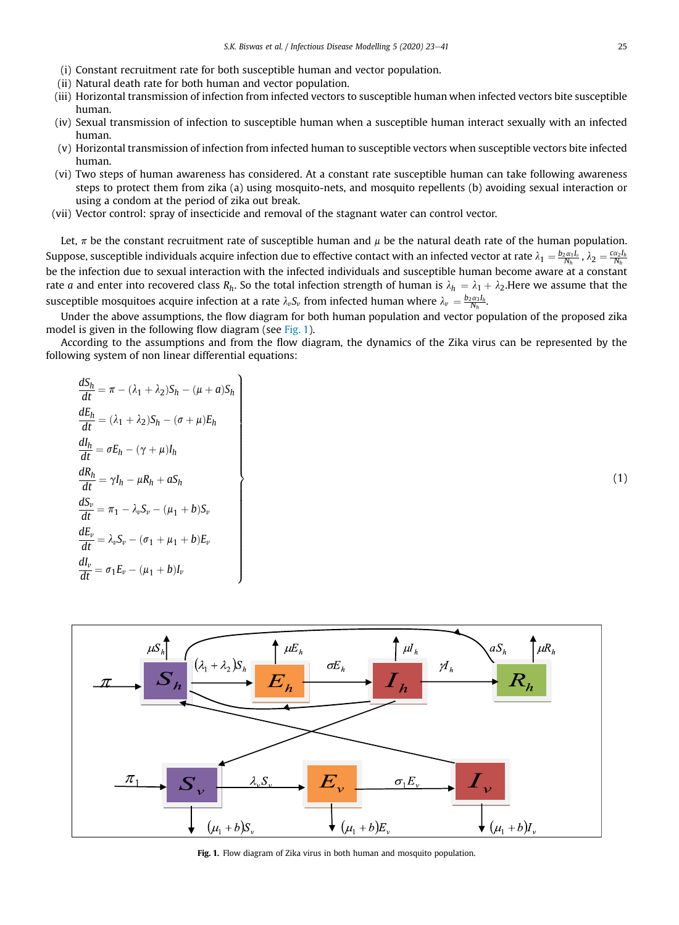- (i) Constant recruitment rate for both susceptible human and vector population.
- (ii) Natural death rate for both human and vector population.
- (iii) Horizontal transmission of infection from infected vectors to susceptible human when infected vectors bite susceptible human.
- (iv) Sexual transmission of infection to susceptible human when a susceptible human interact sexually with an infected human.
- (v) Horizontal transmission of infection from infected human to susceptible vectors when susceptible vectors bite infected human.
- (vi) Two steps of human awareness has considered. At a constant rate susceptible human can take following awareness steps to protect them from zika (a) using mosquito-nets, and mosquito repellents (b) avoiding sexual interaction or using a condom at the period of zika out break.
- (vii) Vector control: spray of insecticide and removal of the stagnant water can control vector.

 $\mathcal{L}$ 

>>>>>>>>>>>>>>>>>>>>>>>>>>>>=

>>>>>>>>>>>>>>>>>>>>>>>>>>>>;

Let,  $\pi$  be the constant recruitment rate of susceptible human and  $\mu$  be the natural death rate of the human population. Suppose, susceptible individuals acquire infection due to effective contact with an infected vector at rate  $\lambda_1=\frac{b_2\alpha_1I_\nu}{N_h}$  ,  $\lambda_2=\frac{c\alpha_2I_h}{N_h}$ be the infection due to sexual interaction with the infected individuals and susceptible human become aware at a constant rate  $a$  and enter into recovered class  $R_h$ . So the total infection strength of human is  $\lambda_h=\lambda_1+\lambda_2.$ Here we assume that the susceptible mosquitoes acquire infection at a rate  $\lambda_\nu S_\nu$  from infected human where  $\lambda_\nu = \frac{b_2\alpha_3I_h}{N_h}$ .

Under the above assumptions, the flow diagram for both human population and vector population of the proposed zika model is given in the following flow diagram (see Fig. 1).

According to the assumptions and from the flow diagram, the dynamics of the Zika virus can be represented by the following system of non linear differential equations:

$$
\frac{dS_h}{dt} = \pi - (\lambda_1 + \lambda_2)S_h - (\mu + a)S_h
$$
  
\n
$$
\frac{dE_h}{dt} = (\lambda_1 + \lambda_2)S_h - (\sigma + \mu)E_h
$$
  
\n
$$
\frac{dI_h}{dt} = \sigma E_h - (\gamma + \mu)I_h
$$
  
\n
$$
\frac{dR_h}{dt} = \gamma I_h - \mu R_h + aS_h
$$
  
\n
$$
\frac{dS_v}{dt} = \pi_1 - \lambda_v S_v - (\mu_1 + b)S_v
$$
  
\n
$$
\frac{dE_v}{dt} = \lambda_v S_v - (\sigma_1 + \mu_1 + b)E_v
$$
  
\n
$$
\frac{dI_v}{dt} = \sigma_1 E_v - (\mu_1 + b)I_v
$$

 $\mu E_h$  $\mu I_h$  $\lambda_1 + \lambda_2$  )S<sub>k</sub>  $\sigma E_h$  $\overline{\mathcal{M}}_h$  $\sigma_1 E$  $(\mu_1 + b)S$  $(\mu_1+b)I_{\nu}$  $(\mu_1 + b)E$ 

Fig. 1. Flow diagram of Zika virus in both human and mosquito population.

(1)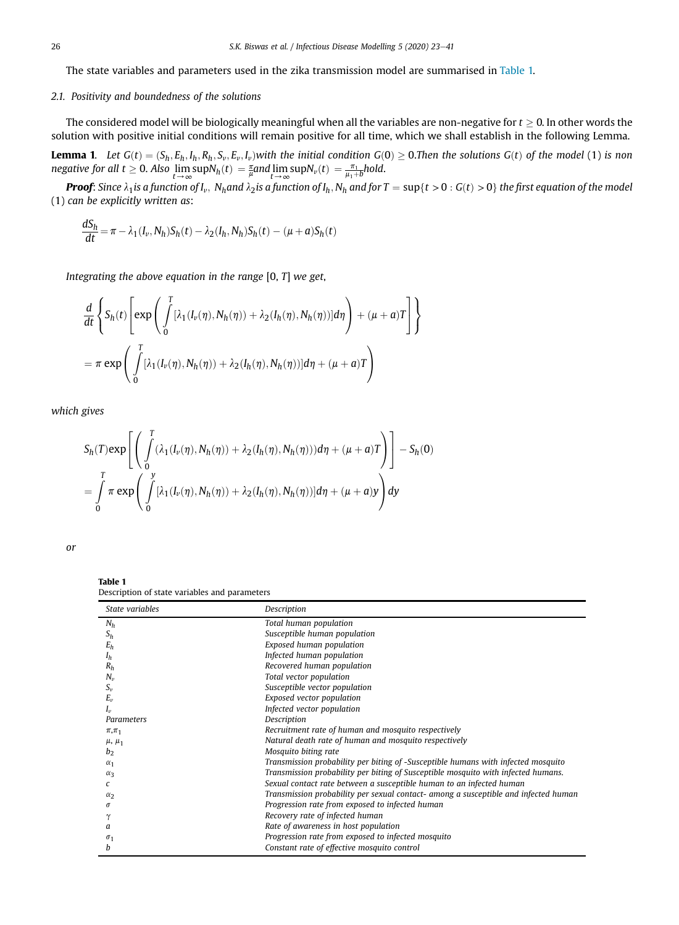The state variables and parameters used in the zika transmission model are summarised in Table 1.

## *2.1. Positivity and boundedness of the solutions*

The considered model will be biologically meaningful when all the variables are non-negative for  $t > 0$ . In other words the solution with positive initial conditions will remain positive for all time, which we shall establish in the following Lemma.

**Lemma 1.** Let  $G(t) = (S_h, E_h, I_h, R_h, S_v, E_v, I_v)$  with the initial condition  $G(0) \ge 0$ . Then the solutions  $G(t)$  of the model (1) is non  $\text{negative for all } t \geq 0.$  Also  $\lim_{t \to \infty} \sup N_h(t) = \frac{\pi}{\mu}$ and $\lim_{t \to \infty} \sup N_v(t) = \frac{\pi_1}{\mu_1 + b}$ hold.

**Proof:** Since  $\lambda_1$ is a function of I<sub>v</sub>, N<sub>h</sub>and  $\lambda_2$ is a function of I<sub>h</sub>, N<sub>h</sub> and for T  $=$  sup{t  $>$  0  $:$  G(t)  $>$  0} the first equation of the model (1) *can be explicitly written as*:

$$
\frac{dS_h}{dt} = \pi - \lambda_1(I_v, N_h)S_h(t) - \lambda_2(I_h, N_h)S_h(t) - (\mu + a)S_h(t)
$$

*Integrating the above equation in the range* [0, *T*] *we get*,

$$
\frac{d}{dt} \left\{ S_h(t) \left[ \exp \left( \int_0^T [\lambda_1(I_v(\eta), N_h(\eta)) + \lambda_2(I_h(\eta), N_h(\eta))] d\eta \right) + (\mu + a)T \right] \right\}
$$
  
=  $\pi \exp \left( \int_0^T [\lambda_1(I_v(\eta), N_h(\eta)) + \lambda_2(I_h(\eta), N_h(\eta))] d\eta + (\mu + a)T \right)$ 

*which gives*

$$
S_h(T) \exp\left[\left(\int\limits_0^T (\lambda_1(I_\nu(\eta), N_h(\eta)) + \lambda_2(I_h(\eta), N_h(\eta)))d\eta + (\mu + a)T\right)\right] - S_h(0)
$$
  
= 
$$
\int\limits_0^T \pi \exp\left(\int\limits_0^y [\lambda_1(I_\nu(\eta), N_h(\eta)) + \lambda_2(I_h(\eta), N_h(\eta))]d\eta + (\mu + a)y\right)dy
$$

*or*

Table 1 Description of state variables and parameters

| State variables | Description                                                                         |
|-----------------|-------------------------------------------------------------------------------------|
| $N_h$           | Total human population                                                              |
| $S_h$           | Susceptible human population                                                        |
| $E_h$           | Exposed human population                                                            |
| $I_h$           | Infected human population                                                           |
| $R_h$           | Recovered human population                                                          |
| $N_{\nu}$       | Total vector population                                                             |
| $S_{\nu}$       | Susceptible vector population                                                       |
| $E_{\nu}$       | Exposed vector population                                                           |
| $I_{\nu}$       | Infected vector population                                                          |
| Parameters      | Description                                                                         |
| $\pi, \pi_1$    | Recruitment rate of human and mosquito respectively                                 |
| $\mu$ , $\mu_1$ | Natural death rate of human and mosquito respectively                               |
| b <sub>2</sub>  | Mosquito biting rate                                                                |
| $\alpha_1$      | Transmission probability per biting of -Susceptible humans with infected mosquito   |
| $\alpha_3$      | Transmission probability per biting of Susceptible mosquito with infected humans.   |
|                 | Sexual contact rate between a susceptible human to an infected human                |
| $\alpha$        | Transmission probability per sexual contact- among a susceptible and infected human |
| σ               | Progression rate from exposed to infected human                                     |
|                 | Recovery rate of infected human                                                     |
| a               | Rate of awareness in host population                                                |
| $\sigma_1$      | Progression rate from exposed to infected mosquito                                  |
| h               | Constant rate of effective mosquito control                                         |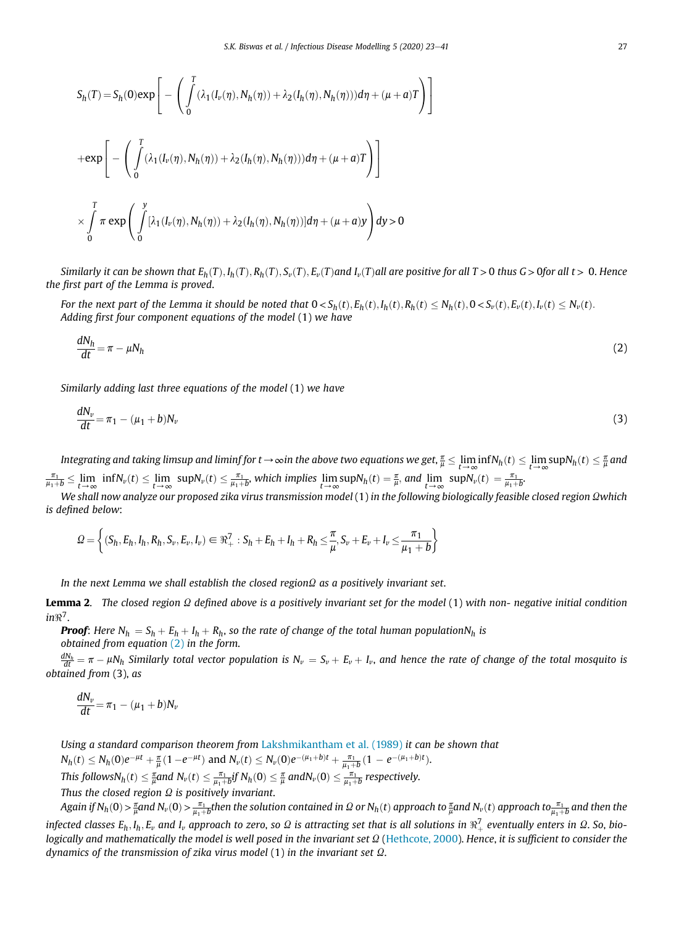3  $\overline{1}$ 

$$
S_h(T) = S_h(0) \exp \left[ - \left( \int_0^T (\lambda_1(I_\nu(\eta), N_h(\eta)) + \lambda_2(I_h(\eta), N_h(\eta))) d\eta + (\mu + a)T \right) \right]
$$
  
+ 
$$
\exp \left[ - \left( \int_0^T (\lambda_1(I_\nu(\eta), N_h(\eta)) + \lambda_2(I_h(\eta), N_h(\eta))) d\eta + (\mu + a)T \right) \right]
$$
  

$$
\times \int_0^T \pi \exp \left( \int_0^y [\lambda_1(I_\nu(\eta), N_h(\eta)) + \lambda_2(I_h(\eta), N_h(\eta))] d\eta + (\mu + a)Y \right) dy > 0
$$

Similarly it can be shown that  $E_h(T), I_h(T), R_h(T), S_v(T), E_v(T)$ and  $I_v(T)$ all are positive for all  $T > 0$  thus  $G > 0$ for all  $t > 0$ . Hence *the* fi*rst part of the Lemma is proved*.

For the next part of the Lemma it should be noted that  $0 < S_h(t)$ ,  $E_h(t)$ ,  $I_h(t)$ ,  $R_h(t) \le N_h(t)$ ,  $0 < S_v(t)$ ,  $E_v(t)$ ,  $I_v(t) \le N_v(t)$ . *Adding* fi*rst four component equations of the model* (1) *we have*

$$
\frac{dN_h}{dt} = \pi - \mu N_h \tag{2}
$$

*Similarly adding last three equations of the model* (1) *we have*

$$
\frac{dN_v}{dt} = \pi_1 - (\mu_1 + b)N_v \tag{3}
$$

Integrating and taking limsup and liminf for  $t\to\infty$ in the above two equations we get,  $\frac{\pi}{\mu}\leq\lim_{t\to\infty}\inf N_h(t)\leq\lim_{t\to\infty}\sup N_h(t)\leq\frac{\pi}{\mu}$  and  $\frac{\pi_1}{\mu_1 + b} \leq \lim_{t \to \infty} \inf N_v(t) \leq \lim_{t \to \infty} \sup N_v(t) \leq \frac{\pi_1}{\mu_1 + b}$ , which implies  $\lim_{t \to \infty} \sup N_h(t) = \frac{\pi}{\mu}$ , and  $\lim_{t \to \infty} \sup N_v(t) = \frac{\pi_1}{\mu_1 + b}$ .

*We shall now analyze our proposed zika virus transmission model* (1) *in the following biologically feasible closed region Qwhich is de*fi*ned below*:

$$
\mathcal{Q} = \left\{ (S_h, E_h, I_h, R_h, S_v, E_v, I_v) \in \Re_+^7 : S_h + E_h + I_h + R_h \leq \frac{\pi}{\mu}, S_v + E_v + I_v \leq \frac{\pi_1}{\mu_1 + b} \right\}
$$

*In the next Lemma we shall establish the closed region* $\Omega$  *as a positively invariant set.* 

Lemma 2. *The closed region* U *de*fi*ned above is a positively invariant set for the model* (1) *with non- negative initial condition in*< 7 .

**Proof**: Here  $N_h = S_h + E_h + I_h + R_h$ , so the rate of change of the total human population $N_h$  is *obtained from equation* (2) *in the form*.

 $\frac{dN_h}{dt} = \pi - \mu N_h$  Similarly total vector population is  $N_v = S_v + E_v + I_v$ , and hence the rate of change of the total mosquito is *obtained from* (3), *as*

$$
\frac{dN_v}{dt} = \pi_1 - (\mu_1 + b)N_v
$$

*Using a standard comparison theorem from* Lakshmikantham et al. (1989) *it can be shown that*

 $N_h(t) \leq N_h(0)e^{-\mu t} + \frac{\pi}{\mu}(1-e^{-\mu t})$  and  $N_v(t) \leq N_v(0)e^{-(\mu_1+b)t} + \frac{\pi_1}{\mu_1+b}(1-e^{-(\mu_1+b)t}).$  $\text{This follows} N_h(t) \leq \frac{\pi}{\mu}$ and  $N_v(t) \leq \frac{\pi_1}{\mu_1+b}$ j $f$   $N_h(0) \leq \frac{\pi}{\mu}$  and $N_v(0) \leq \frac{\pi_1}{\mu_1+b}$  respectively.

*Thus the closed region*  $\Omega$  *is positively invariant.* 

Again if  $N_h(0)$  >  $\frac{\pi}{\mu}$ and  $N_v(0)$  >  $\frac{\pi_1}{\mu_1+b}$ then the solution contained in  $\Omega$  or  $N_h(t)$  approach to  $\frac{\pi}{\mu}$ and  $N_v(t)$  approach to $\frac{\pi_1}{\mu_1+b}$  and then the infected classes  $E_h, I_h, E_v$  and  $I_v$  approach to zero, so  $\varOmega$  is attracting set that is all solutions in  $\Re^7_+$  eventually enters in  $\varOmega$ . So, bio*logically and mathematically the model is well posed in the invariant set*  $\Omega$  (Hethcote, 2000). *Hence*, *it is sufficient to consider the dynamics of the transmission of zika virus model* (1) *in the invariant set*  $\Omega$ *.*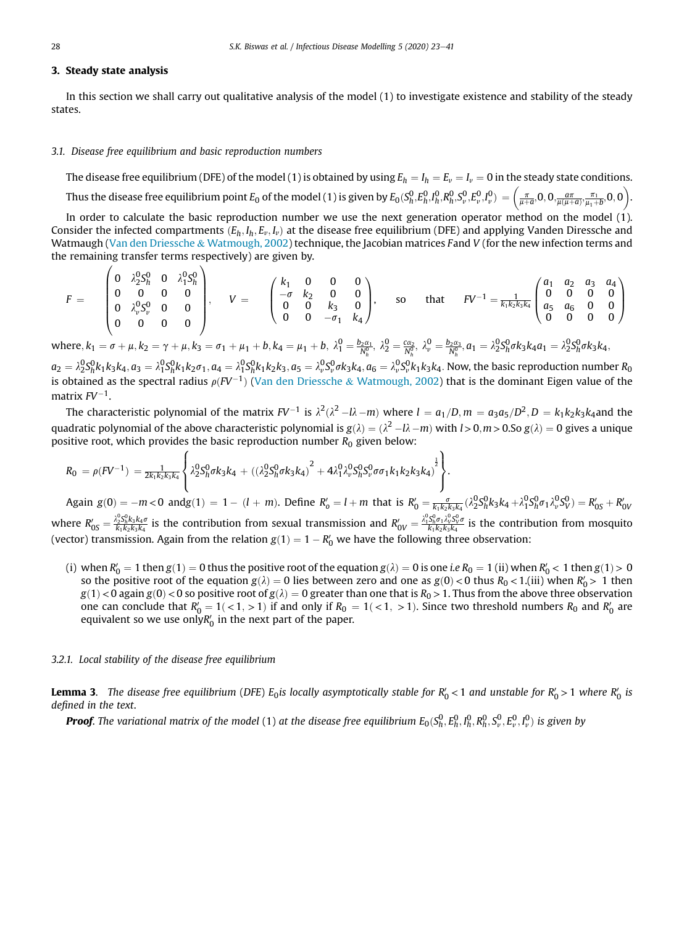## 3. Steady state analysis

 $\prime$ 

In this section we shall carry out qualitative analysis of the model (1) to investigate existence and stability of the steady states.

## *3.1. Disease free equilibrium and basic reproduction numbers*

The disease free equilibrium (DFE) of the model (1) is obtained by using  $E_h = I_h = E_v = I_v = 0$  in the steady state conditions. Thus the disease free equilibrium point  $E_0$  of the model (1) is given by  $E_0(S_h^0,E_h^0,\!P_h^0,R_h^0,S_v^0,E_v^0,I_v^0) = \left(\frac{\pi}{\mu+a} , 0 , 0 , \!\frac{a\pi}{\mu(\mu+a)},\!\frac{\pi_1}{\mu_1+b},0,0\right)$ 

In order to calculate the basic reproduction number we use the next generation operator method on the model (1). Consider the infected compartments  $(E_h, I_h, E_v, I_v)$  at the disease free equilibrium (DFE) and applying Vanden Diressche and Watmaugh (Van den Driessche & Watmough, 2002) technique, the Jacobian matrices *F*and *V* (for the new infection terms and the remaining transfer terms respectively) are given by.

$$
F = \begin{pmatrix} 0 & \lambda_2^0 S_h^0 & 0 & \lambda_1^0 S_h^0 \\ 0 & 0 & 0 & 0 \\ 0 & \lambda_v^0 S_v^0 & 0 & 0 \\ 0 & 0 & 0 & 0 \end{pmatrix}, \quad V = \begin{pmatrix} k_1 & 0 & 0 & 0 \\ -\sigma & k_2 & 0 & 0 \\ 0 & 0 & k_3 & 0 \\ 0 & 0 & -\sigma_1 & k_4 \end{pmatrix}, \quad \text{so} \quad \text{that} \quad FV^{-1} = \frac{1}{k_1 k_2 k_3 k_4} \begin{pmatrix} a_1 & a_2 & a_3 & a_4 \\ 0 & 0 & 0 & 0 \\ a_5 & a_6 & 0 & 0 \\ 0 & 0 & 0 & 0 \end{pmatrix}
$$

where,  $k_1 = \sigma + \mu$ ,  $k_2 = \gamma + \mu$ ,  $k_3 = \sigma_1 + \mu_1 + b$ ,  $k_4 = \mu_1 + b$ ,  $\lambda_1^0 = \frac{b_2 \alpha_1}{N_h^0}$ ,  $\lambda_2^0 = \frac{c \alpha_2}{N_h^0}$ ,  $\lambda_v^0 = \frac{b_2 \alpha_3}{N_h^0}$ ,  $a_1 = \lambda_2^0 S_h^0 \sigma k_3 k_4 a_1 = \lambda_2^0 S_h^0 \sigma k_3 k_4 a_1$ 

 $a_2=\lambda_2^0S_h^0k_1k_3k_4, a_3=\lambda_1^0S_h^0k_1k_2\sigma_1, a_4=\lambda_1^0S_h^0k_1k_2k_3, a_5=\lambda_v^0S_v^0\sigma k_3k_4, a_6=\lambda_v^0S_v^0k_1k_3k_4.$  Now, the basic reproduction number  $R_0$ is obtained as the spectral radius  $\rho(FV^{-1})$  (Van den Driessche & Watmough, 2002) that is the dominant Eigen value of the matrix *FV*-1 .

The characteristic polynomial of the matrix FV $^{-1}$  is  $\lambda^2(\lambda^2-l\lambda-m)$  where  $l=a_1/D, m=a_3a_5/D^2, D=k_1k_2k_3k_4$ and the quadratic polynomial of the above characteristic polynomial is  $g(\lambda)=(\lambda^2-l\lambda-m)$  with  $l>0, m>0.$ So  $g(\lambda)=0$  gives a unique positive root, which provides the basic reproduction number  $R_0$  given below:

$$
R_0 = \rho (F V^{-1}) = \frac{1}{2k_1k_2k_3k_4} \left\{ \lambda_2^0 S_h^0 \sigma k_3 k_4 + \left( \left( \lambda_2^0 S_h^0 \sigma k_3 k_4 \right)^2 + 4 \lambda_1^0 \lambda_\nu^0 S_h^0 S_\nu^0 \sigma \sigma_1 k_1 k_2 k_3 k_4 \right)^{\frac{1}{2}} \right\}.
$$

Again  $g(0) = -m < 0$  and  $g(1) = 1 - (l + m)$ . Define  $R'_0 = l + m$  that is  $R'_0 = \frac{\sigma}{k_1 k_2 k_3 k_4} (\lambda_2^0 S_h^0 k_3 k_4 + \lambda_1^0 S_h^0 \sigma_1 \lambda_v^0 S_V^0) = R'_{0S} + R'_{0V}$ where  $R'_{0S}=\frac{\lambda_2^0S_h^0k_3k_4\sigma}{k_1k_2k_3k_4}$  is the contribution from sexual transmission and  $R'_{0V}=\frac{\lambda_1^0S_h^0\sigma_1\lambda_V^0S_V^0\sigma}{k_1k_2k_3k_4}$  is the contribution from mosquito (vector) transmission. Again from the relation  $g(1) = 1 - R'_0$  we have the following three observation:

(i) when  $R'_0 = 1$  then  $g(1) = 0$  thus the positive root of the equation  $g(\lambda) = 0$  is one *i.e*  $R_0 = 1$  (ii) when  $R'_0 < 1$  then  $g(1) > 0$ so the positive root of the equation  $g(\lambda) = 0$  lies between zero and one as  $g(0) < 0$  thus  $R_0 < 1$ .(iii) when  $R'_0 > 1$  then  $g(1)$  < 0 again  $g(0)$  < 0 so positive root of  $g(\lambda) = 0$  greater than one that is  $R_0 > 1$ . Thus from the above three observation one can conclude that  $R'_0 = 1$  (<1, >1) if and only if  $R_0 = 1$  (<1, >1). Since two threshold numbers  $R_0$  and  $R'_0$  are equivalent so we use only $R_0'$  in the next part of the paper.

## *3.2.1. Local stability of the disease free equilibrium*

**Lemma 3.** The disease free equilibrium (DFE)  $E_0$ is locally asymptotically stable for  $R'_0 < 1$  and unstable for  $R'_0 > 1$  where  $R'_0$  is *de*fi*ned in the text*.

**Proof.** The variational matrix of the model (1) at the disease free equilibrium  $E_0(S_h^0,E_h^0,I_h^0,R_h^0,S_v^0,E_v^0,I_v^0)$  is given by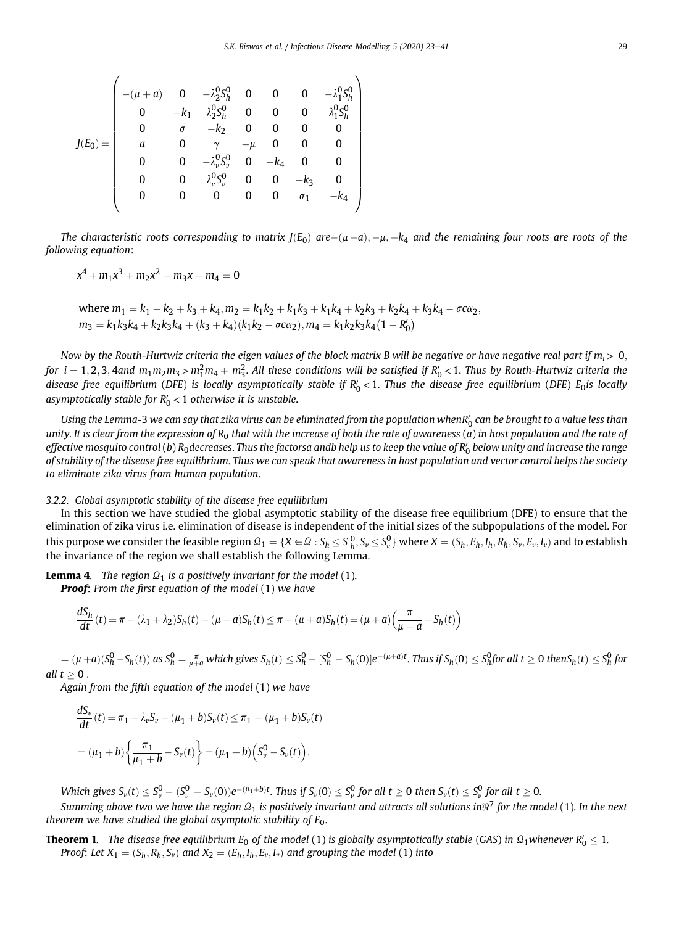$$
J(E_0)=\left(\begin{array}{cccccccc}-(\mu+a)&0&-\lambda_2^0S_n^0&0&0&0&-\lambda_1^0S_n^0\\0&-k_1&\lambda_2^0S_n^0&0&0&0&\lambda_1^0S_n^0\\0&\sigma&-k_2&0&0&0&0\\a&0&\gamma&-\mu&0&0&0\\0&0&-\lambda_{\nu}^0S_{\nu}^0&0&-k_4&0&0\\0&0&\lambda_{\nu}^0S_{\nu}^0&0&0&-k_3&0\\0&0&0&0&0&\sigma_1&-k_4\end{array}\right)
$$

The characteristic roots corresponding to matrix  $J(E_0)$  are $-(\mu+a), -\mu, -k_4$  and the remaining four roots are roots of the *following equation*:

$$
x^4 + m_1 x^3 + m_2 x^2 + m_3 x + m_4 = 0
$$

 $w$ here  $m_1 = k_1 + k_2 + k_3 + k_4, m_2 = k_1k_2 + k_1k_3 + k_1k_4 + k_2k_3 + k_2k_4 + k_3k_4 - \sigma c\alpha_2$  $m_3 = k_1k_3k_4 + k_2k_3k_4 + (k_3 + k_4)(k_1k_2 - \sigma c\alpha_2), m_4 = k_1k_2k_3k_4(1 - R'_0)$ 

*Now by the Routh-Hurtwiz criteria the eigen values of the block matrix B will be negative or have negative real part if*  $m_i > 0$ *,* for  $i=1,2,3,4$ and  $m_1m_2m_3$  >  $m_1^2m_4+m_3^2$ . All these conditions will be satisfied if  $R_0^\prime$  < 1. Thus by Routh-Hurtwiz criteria the disease free equilibrium (DFE) is locally asymptotically stable if  $R'_0$  < 1. Thus the disease free equilibrium (DFE)  $E_0$ is locally asymptotically stable for R'<sub>0</sub> < 1 otherwise it is unstable.

Using the Lemma-3 we can say that zika virus can be eliminated from the population whenR'<sub>0</sub> can be brought to a value less than *unity*. *It is clear from the expression of R*<sup>0</sup> *that with the increase of both the rate of awareness* (*a*) *in host population and the rate of effective mosquito control* (*b*) *R*0*decreases*. *Thus the factorsa andb help us to keep the value of R*<sup>0</sup> 0 *below unity and increase the range of stability of the disease free equilibrium*. *Thus we can speak that awareness in host population and vector control helps the society to eliminate zika virus from human population*.

### *3.2.2. Global asymptotic stability of the disease free equilibrium*

In this section we have studied the global asymptotic stability of the disease free equilibrium (DFE) to ensure that the elimination of zika virus i.e. elimination of disease is independent of the initial sizes of the subpopulations of the model. For this purpose we consider the feasible region  $\mathcal{Q}_1=\{X\in\mathcal{Q}:S_h\leq S_h^0, S_\nu\leq S_\nu^0\}$  where  $X=(S_h,E_h,I_h,R_h,S_\nu,E_\nu,I_\nu)$  and to establish the invariance of the region we shall establish the following Lemma.

**Lemma 4.** *The region*  $\Omega_1$  *is a positively invariant for the model* (1). Proof: *From the* fi*rst equation of the model* (1) *we have*

$$
\frac{dS_h}{dt}(t) = \pi - (\lambda_1 + \lambda_2)S_h(t) - (\mu + a)S_h(t) \le \pi - (\mu + a)S_h(t) = (\mu + a)\left(\frac{\pi}{\mu + a} - S_h(t)\right)
$$

 $\alpha=(\mu+a)(S^0_h-S_h(t))$  as  $S^0_h=\frac{\pi}{\mu+a}$  which gives  $S_h(t)\leq S^0_h-[S^0_h-S_h(0)]e^{-(\mu+a)t}.$  Thus if  $S_h(0)\leq S^0_h$ for all  $t\geq 0$  then $S_h(t)\leq S^0_h$  for *all*  $t > 0$ .

*Again from the* fi*fth equation of the model* (1) *we have*

$$
\frac{dS_v}{dt}(t) = \pi_1 - \lambda_v S_v - (\mu_1 + b)S_v(t) \le \pi_1 - (\mu_1 + b)S_v(t)
$$

$$
= (\mu_1 + b) \left\{ \frac{\pi_1}{\mu_1 + b} - S_v(t) \right\} = (\mu_1 + b) \left( S_v^0 - S_v(t) \right).
$$

Which gives  $S_v(t)\leq S_v^0-(S_v^0-S_v(0))e^{-(\mu_1+b)t}.$  Thus if  $S_v(0)\leq S_v^0$  for all  $t\geq 0$  then  $S_v(t)\leq S_v^0$  for all  $t\geq 0.$ 

Summing above two we have the region  $\Omega_1$  is positively invariant and attracts all solutions in $\Re^7$  for the model (1). In the next *theorem we have studied the global asymptotic stability of E*0.

**Theorem 1.** The disease free equilibrium  $E_0$  of the model (1) is globally asymptotically stable (GAS) in  $\Omega_1$ whenever  $R'_0\leq 1$ . *Proof: Let*  $X_1 = (S_h, R_h, S_v)$  *and*  $X_2 = (E_h, I_h, E_v, I_v)$  *and grouping the model* (1) into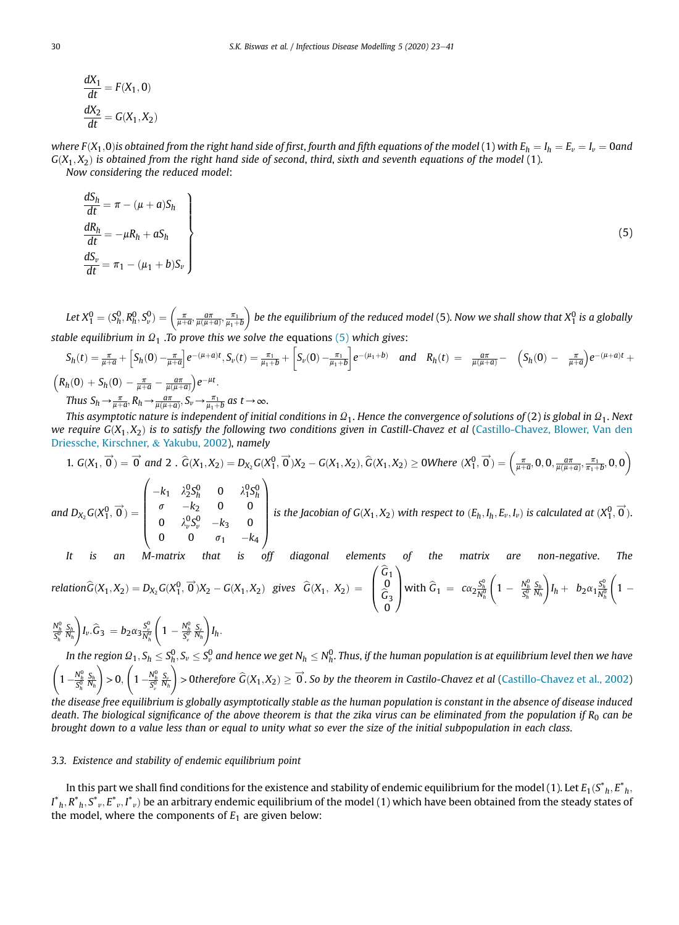$$
\frac{dX_1}{dt} = F(X_1, 0)
$$

$$
\frac{dX_2}{dt} = G(X_1, X_2)
$$

*where*  $F(X_1, 0)$ *is obtained from the right hand side of first, fourth and fifth equations of the model (1) with*  $E_h = I_h = E_v = I_v = 0$ *and*  $G(X_1, X_2)$  is obtained from the right hand side of second, third, sixth and seventh equations of the model (1). *Now considering the reduced model*:

$$
\begin{aligned}\n\frac{dS_h}{dt} &= \pi - (\mu + a)S_h \\
\frac{dR_h}{dt} &= -\mu R_h + aS_h \\
\frac{dS_v}{dt} &= \pi_1 - (\mu_1 + b)S_v\n\end{aligned}
$$
\n(5)

*Let*  $X_1^0 = (S_h^0, R_h^0, S_v^0) = \left(\frac{\pi}{\mu+a}, \frac{a\pi}{\mu(\mu+a)}, \frac{\pi_1}{\mu_1+b}\right)$  $\hat{h}_1$  be the equilibrium of the reduced model (5). Now we shall show that  $X^0_1$  is a globally *stable equilibrium in*  $\Omega_1$ . *To prove this we solve the equations* (5) *which gives:* 

$$
S_h(t) = \frac{\pi}{\mu + a} + \left[S_h(0) - \frac{\pi}{\mu + a}\right] e^{-(\mu + a)t}, S_{\nu}(t) = \frac{\pi}{\mu + b} + \left[S_{\nu}(0) - \frac{\pi}{\mu + b}\right] e^{-(\mu + b)} \quad \text{and} \quad R_h(t) = \frac{a\pi}{\mu(\mu + a)} - \left(S_h(0) - \frac{\pi}{\mu + a}\right) e^{-(\mu + a)t} +
$$
\n
$$
\left(R_h(0) + S_h(0) - \frac{\pi}{\mu + a} - \frac{a\pi}{\mu(\mu + a)}\right) e^{-\mu t}.
$$
\nThus  $S_h \to \frac{\pi}{\mu + a}, R_h \to \frac{a\pi}{\mu(\mu + a)}, S_{\nu} \to \frac{\pi}{\mu + b}$  as  $t \to \infty$ .

*This asymptotic nature is independent of initial conditions in*  $\Omega_1.$  *Hence the convergence of solutions of (2) is global in*  $\Omega_1.$  *Next we require G* $(X_1, X_2)$  *is to satisfy the following two conditions given in Castill-Chavez et al (Castillo-Chavez, Blower, Van den* Driessche, Kirschner, & Yakubu, 2002), *namely*

1. 
$$
G(X_1, \vec{0}) = \vec{0}
$$
 and 2.  $\hat{G}(X_1, X_2) = D_{X_2}G(X_1^0, \vec{0})X_2 - G(X_1, X_2), \hat{G}(X_1, X_2) \ge 0$  Where  $(X_1^0, \vec{0}) = \left(\frac{\pi}{\mu + \alpha}, 0, 0, \frac{\alpha \pi}{\mu(\mu + \alpha)}, \frac{\pi}{\pi_1 + \beta}, 0, 0\right)$   
and  $D_{X_2}G(X_1^0, \vec{0}) = \begin{pmatrix} -k_1 & \lambda_2^0 S_h^0 & 0 & \lambda_1^0 S_h^0 \\ \sigma & -k_2 & 0 & 0 \\ 0 & \lambda_v^0 S_v^0 & -k_3 & 0 \\ 0 & 0 & \sigma_1 & -k_4 \end{pmatrix}$  is the Jacobian of  $G(X_1, X_2)$  with respect to  $(E_h, I_h, E_v, I_v)$  is calculated at  $(X_1^0, \vec{0})$ .

It is an M-matrix that is off diagonal elements of the matrix are non-negative. The  
relation 
$$
\widehat{G}(X_1, X_2) = D_{X_2}G(X_1^0, \vec{0})X_2 - G(X_1, X_2)
$$
 gives  $\widehat{G}(X_1, X_2) = \begin{pmatrix} \widehat{G}_1 \\ 0 \\ \widehat{G}_3 \\ 0 \end{pmatrix}$  with  $\widehat{G}_1 = c\alpha_2 \frac{S_h^0}{N_h} \left(1 - \frac{N_h^0 S_h}{S_h^0} \frac{S_h}{N_h}\right) I_h + b_2 \alpha_1 \frac{S_h^0}{N_h^0} \left(1 - \frac{S_h^0}{S_h^0} \frac{S_h}{N_h}\right) I_h$ 

 $\frac{N_h^0}{S_h^0}$ *Sh Nh*  $\setminus$  $I_{\nu}.\widehat{G}_3 = b_2\alpha_3 \frac{S_{\nu}^0}{N_h^0}$  $\sqrt{ }$  $1 - \frac{N_h^0}{S_v^0}$ *S*v *Nh*  $\setminus$ *Ih* : In the region  $\Omega_1,S_h\leq S_h^0,S_v\leq S_v^0$  and hence we get  $N_h\leq N_h^0.$  Thus, if the human population is at equilibrium level then we have  $\sqrt{ }$  $1 - \frac{N_h^0}{S_h^0}$ *Sh Nh*  $\Big) > 0, \Big($  $1 - \frac{N_h^0}{S_v^0}$ *S*v *Nh*  $\left( \rho \right)$  > 0therefore  $\widehat G(X_1,X_2)\ge \overrightarrow{0}.$  So by the theorem in Castilo-Chavez et al (Castillo-Chavez et al., 2002) *the disease free equilibrium is globally asymptotically stable as the human population is constant in the absence of disease induced*

*death. The biological significance of the above theorem is that the zika virus can be eliminated from the population if R<sub>0</sub> can be brought down to a value less than or equal to unity what so ever the size of the initial subpopulation in each class*.

#### *3.3. Existence and stability of endemic equilibrium point*

In this part we shall find conditions for the existence and stability of endemic equilibrium for the model (1). Let  $E_1(S^*_{h},E^*_{h},E^*_{h})$  $I^*{}_{h},R^*{}_{h},S^*{}_{v},E^*{}_{v},I^*{}_{v})$  be an arbitrary endemic equilibrium of the model (1) which have been obtained from the steady states of the model, where the components of  $E_1$  are given below: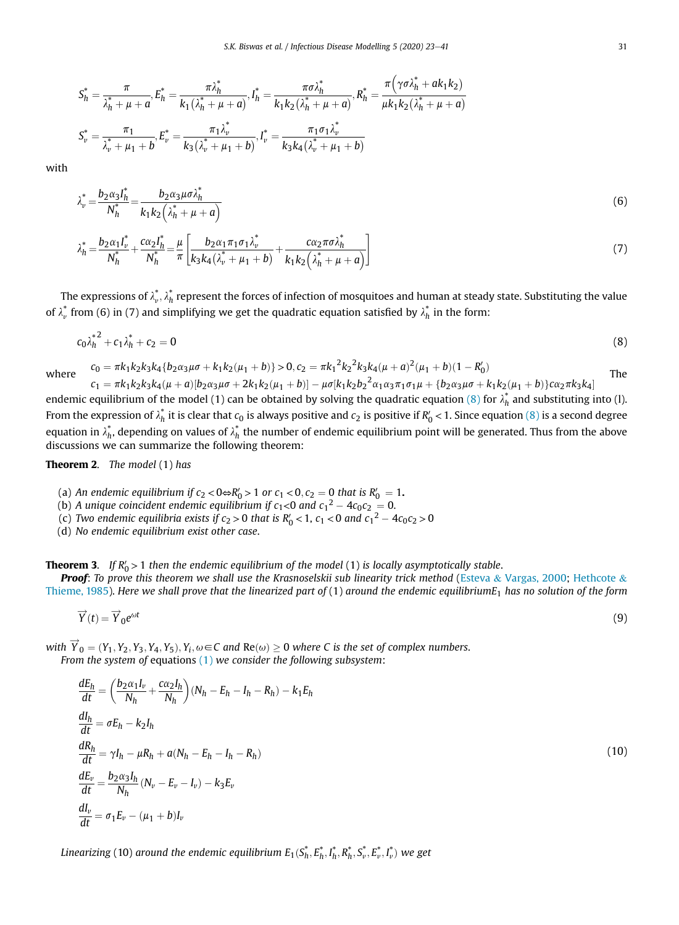$$
S_h^* = \frac{\pi}{\lambda_h^* + \mu + a}, E_h^* = \frac{\pi \lambda_h^*}{k_1 (\lambda_h^* + \mu + a)}, I_h^* = \frac{\pi \sigma \lambda_h^*}{k_1 k_2 (\lambda_h^* + \mu + a)}, R_h^* = \frac{\pi (\gamma \sigma \lambda_h^* + ak_1 k_2)}{\mu k_1 k_2 (\lambda_h^* + \mu + a)}
$$
  

$$
S_v^* = \frac{\pi_1}{\lambda_v^* + \mu_1 + b}, E_v^* = \frac{\pi_1 \lambda_v^*}{k_3 (\lambda_v^* + \mu_1 + b)}, I_v^* = \frac{\pi_1 \sigma_1 \lambda_v^*}{k_3 k_4 (\lambda_v^* + \mu_1 + b)}
$$

with

$$
\lambda_v^* = \frac{b_2 \alpha_3 I_h^*}{N_h^*} = \frac{b_2 \alpha_3 \mu \sigma \lambda_h^*}{k_1 k_2 \left(\lambda_h^* + \mu + a\right)}\tag{6}
$$

$$
\lambda_h^* = \frac{b_2 \alpha_1 I_v^*}{N_h^*} + \frac{c \alpha_2 I_h^*}{N_h^*} = \frac{\mu}{\pi} \left[ \frac{b_2 \alpha_1 \pi_1 \sigma_1 \lambda_v^*}{k_3 k_4 (\lambda_v^* + \mu_1 + b)} + \frac{c \alpha_2 \pi \sigma \lambda_h^*}{k_1 k_2 (\lambda_h^* + \mu_1 + a)} \right]
$$
(7)

The expressions of  $\lambda_\nu^*,\lambda_h^*$  represent the forces of infection of mosquitoes and human at steady state. Substituting the value of  $\lambda_\nu^*$  from (6) in (7) and simplifying we get the quadratic equation satisfied by  $\lambda_h^*$  in the form:

$$
c_0 \lambda_h^{\ast 2} + c_1 \lambda_h^{\ast} + c_2 = 0 \tag{8}
$$

where  $c_0 = \pi k_1 k_2 k_3 k_4 \{b_2 \alpha_3 \mu \sigma + k_1 k_2 (\mu_1 + b) \} > 0, c_2 = \pi k_1^2 k_2^2 k_3 k_4 (\mu + a)^2 (\mu_1 + b)(1 - R'_0)$ The

 $c_1 = \pi k_1 k_2 k_3 k_4 (\mu + a) [b_2 \alpha_3 \mu \sigma + 2 k_1 k_2 (\mu_1 + b)] - \mu \sigma [k_1 k_2 b_2^2 \alpha_1 \alpha_3 \pi_1 \sigma_1 \mu + \{b_2 \alpha_3 \mu \sigma + k_1 k_2 (\mu_1 + b)\} c \alpha_2 \pi k_3 k_4]$ endemic equilibrium of the model (1) can be obtained by solving the quadratic equation (8) for  $\lambda_h^*$  and substituting into (1). From the expression of  $\lambda_h^*$  it is clear that  $c_0$  is always positive and  $c_2$  is positive if  $R'_0$  < 1. Since equation (8) is a second degree equation in  $\lambda_h^*$ , depending on values of  $\lambda_h^*$  the number of endemic equilibrium point will be generated. Thus from the above discussions we can summarize the following theorem:

Theorem 2. *The model* (1) *has*

- (a) *An endemic equilibrium if*  $c_2 < 0$ ⇔ $R'_0 > 1$  *or*  $c_1 < 0$ ,  $c_2 = 0$  *that is*  $R'_0 = 1$ .
- (b) A unique coincident endemic equilibrium if  $c_1 < 0$  and  $c_1^2 4c_0c_2 = 0$ .
- (c) Two endemic equilibria exists if  $c_2 > 0$  that is  $R'_0 < 1$ ,  $c_1 < 0$  and  $c_1^2 4c_0c_2 > 0$
- (d) *No endemic equilibrium exist other case*.

**Theorem 3.** If  $R'_0 > 1$  then the endemic equilibrium of the model (1) is locally asymptotically stable.

Proof: To prove this theorem we shall use the Krasnoselskii sub linearity trick method (Esteva & Vargas, 2000; Hethcote & Thieme, 1985). *Here we shall prove that the linearized part of* (1) *around the endemic equilibriumE*<sup>1</sup> *has no solution of the form*

$$
\overrightarrow{Y}(t) = \overrightarrow{Y}_0 e^{\omega t} \tag{9}
$$

with  $\overrightarrow{Y}_0 = (Y_1, Y_2, Y_3, Y_4, Y_5), Y_i, \omega{\in}C$  and  $\text{Re}(\omega)\geq 0$  where  $C$  is the set of complex numbers. *From the system of* equations (1) *we consider the following subsystem*:

$$
\frac{dE_h}{dt} = \left(\frac{b_2 \alpha_1 I_v}{N_h} + \frac{c \alpha_2 I_h}{N_h}\right) (N_h - E_h - I_h - R_h) - k_1 E_h
$$
\n
$$
\frac{dI_h}{dt} = \sigma E_h - k_2 I_h
$$
\n
$$
\frac{dR_h}{dt} = \gamma I_h - \mu R_h + a(N_h - E_h - I_h - R_h)
$$
\n
$$
\frac{dE_v}{dt} = \frac{b_2 \alpha_3 I_h}{N_h} (N_v - E_v - I_v) - k_3 E_v
$$
\n
$$
\frac{dI_v}{dt} = \sigma_1 E_v - (\mu_1 + b) I_v
$$
\n(10)

 $L$ inearizing (10) around the endemic equilibrium  $E_1(S_h^*,E_h^*,I_h^*,R_h^*,S_v^*,E_v^*,I_v^*)$  we get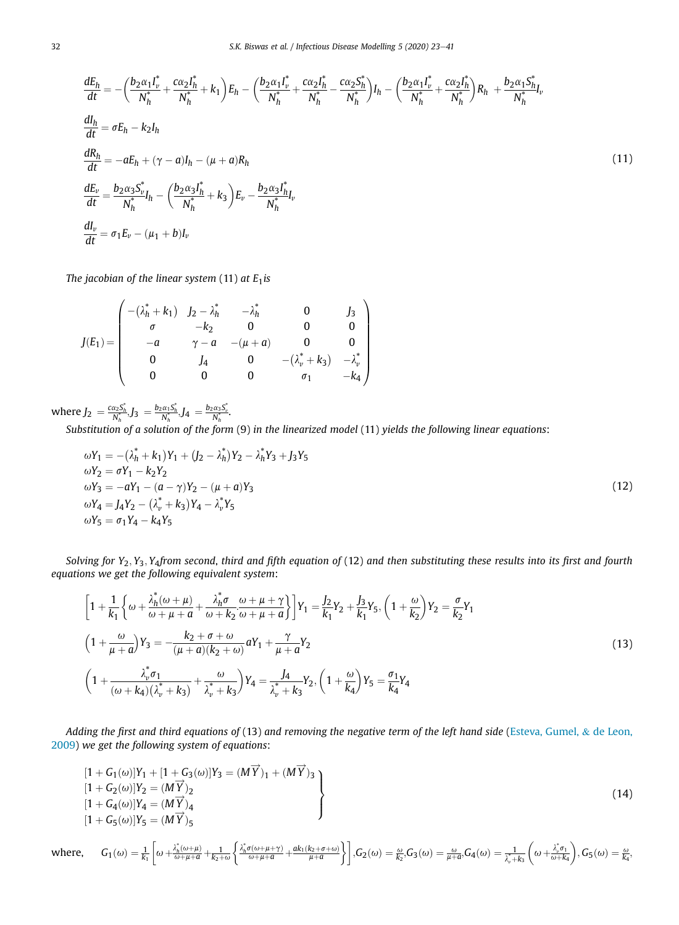$$
\frac{dE_h}{dt} = -\left(\frac{b_2 \alpha_1 I_v^*}{N_h^*} + \frac{c \alpha_2 I_h^*}{N_h^*} + k_1\right) E_h - \left(\frac{b_2 \alpha_1 I_v^*}{N_h^*} + \frac{c \alpha_2 I_h^*}{N_h^*} - \frac{c \alpha_2 S_h^*}{N_h^*}\right) I_h - \left(\frac{b_2 \alpha_1 I_v^*}{N_h^*} + \frac{c \alpha_2 I_h^*}{N_h^*}\right) R_h + \frac{b_2 \alpha_1 S_h^*}{N_h^*} I_v
$$
\n
$$
\frac{dI_h}{dt} = \sigma E_h - k_2 I_h
$$
\n
$$
\frac{dR_h}{dt} = -aE_h + (\gamma - a)I_h - (\mu + a)R_h
$$
\n
$$
\frac{dE_v}{dt} = \frac{b_2 \alpha_3 S_v^*}{N_h^*} I_h - \left(\frac{b_2 \alpha_3 I_h^*}{N_h^*} + k_3\right) E_v - \frac{b_2 \alpha_3 I_h^*}{N_h^*} I_v
$$
\n
$$
\frac{dI_v}{dt} = \sigma_1 E_v - (\mu_1 + b)I_v
$$
\n(11)

*The jacobian of the linear system* (11) *at E*1*is*

$$
J(E_1) = \begin{pmatrix} -(\lambda_h^* + k_1) & J_2 - \lambda_h^* & -\lambda_h^* & 0 & J_3 \\ \sigma & -k_2 & 0 & 0 & 0 \\ -a & \gamma - a & -(\mu + a) & 0 & 0 \\ 0 & J_4 & 0 & -(\lambda_v^* + k_3) & -\lambda_v^* \\ 0 & 0 & 0 & \sigma_1 & -k_4 \end{pmatrix}
$$

 $\text{where } J_2 = \frac{c_{\alpha_2} S_h^*}{N_h^*} J_3 = \frac{b_2 \alpha_1 S_h^*}{N_h^*} J_4 = \frac{b_2 \alpha_3 S_v^*}{N_h^*}.$ 

*Substitution of a solution of the form* (9) *in the linearized model* (11) *yields the following linear equations*:

$$
\omega Y_1 = -(\lambda_h^* + k_1)Y_1 + (J_2 - \lambda_h^*)Y_2 - \lambda_h^*Y_3 + J_3Y_5
$$
  
\n
$$
\omega Y_2 = \sigma Y_1 - k_2Y_2
$$
  
\n
$$
\omega Y_3 = -aY_1 - (a - \gamma)Y_2 - (\mu + a)Y_3
$$
  
\n
$$
\omega Y_4 = J_4Y_2 - (\lambda_v^* + k_3)Y_4 - \lambda_v^*Y_5
$$
  
\n
$$
\omega Y_5 = \sigma_1 Y_4 - k_4Y_5
$$
\n(12)

*Solving for Y*2; *Y*3; *Y*4*from second*, *third and* fi*fth equation of* (12) *and then substituting these results into its* fi*rst and fourth equations we get the following equivalent system*:

$$
\left[1+\frac{1}{k_1}\left\{\omega+\frac{\lambda_h^*(\omega+\mu)}{\omega+\mu+a}+\frac{\lambda_h^*\sigma}{\omega+k_2}\frac{\omega+\mu+\gamma}{\omega+\mu+a}\right\}\right]Y_1=\frac{J_2}{k_1}Y_2+\frac{J_3}{k_1}Y_5,\left(1+\frac{\omega}{k_2}\right)Y_2=\frac{\sigma}{k_2}Y_1
$$
\n
$$
\left(1+\frac{\omega}{\mu+a}\right)Y_3=-\frac{k_2+\sigma+\omega}{(\mu+a)(k_2+\omega)}aY_1+\frac{\gamma}{\mu+a}Y_2
$$
\n
$$
\left(1+\frac{\lambda_v^*\sigma_1}{(\omega+k_4)(\lambda_v^*+k_3)}+\frac{\omega}{\lambda_v^*+k_3}\right)Y_4=\frac{J_4}{\lambda_v^*+k_3}Y_2,\left(1+\frac{\omega}{k_4}\right)Y_5=\frac{\sigma_1}{k_4}Y_4
$$
\n
$$
(13)
$$

*Adding the* fi*rst and third equations of* (13) *and removing the negative term of the left hand side* (Esteva, Gumel, & de Leon, 2009) *we get the following system of equations*:

$$
(1 + G1(\omega)|Y1 + [1 + G3(\omega)|Y3 = (M\overrightarrow{Y})1 + (M\overrightarrow{Y})3 \n[1 + G2(\omega)|Y2 = (M\overrightarrow{Y})2 \n[1 + G4(\omega)|Y4 = (M\overrightarrow{Y})4 \n[1 + G5(\omega)|Y5 = (M\overrightarrow{Y})5 \nwhere, G1(\omega) =  $\frac{1}{k_1} \left[ \omega + \frac{\lambda_n^*(\omega + \mu)}{\omega + \mu + a} + \frac{1}{k_2 + \omega} \left\{ \frac{\lambda_n^*(\omega + \mu + \gamma)}{\omega + \mu + a} + \frac{ak_1(k_2 + \sigma + \omega)}{\mu + a} \right\} \right], G2(\omega) = \frac{\omega}{k_2} G3(\omega) = \frac{\omega}{\mu + a} G4(\omega) = \frac{1}{\lambda_n^* + k_3} \left( \omega + \frac{\lambda_n^* \sigma_1}{\omega + k_4} \right), G5(\omega) = \frac{\omega}{k_4}, G6(\omega) = \frac{1}{\lambda_n^* + k_3} \left( \omega + \frac{\lambda_n^* \sigma_1}{\omega + k_4} \right), G6(\omega) = \frac{\omega}{k_4}.$ \n(14)
$$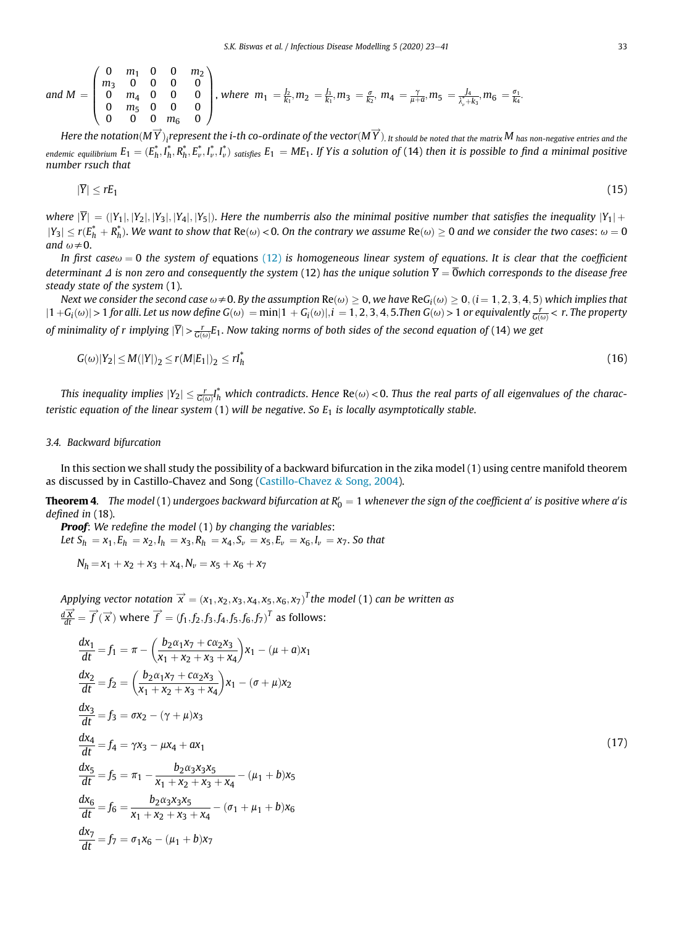and 
$$
M = \begin{pmatrix} 0 & m_1 & 0 & 0 & m_2 \\ m_3 & 0 & 0 & 0 & 0 \\ 0 & m_4 & 0 & 0 & 0 \\ 0 & m_5 & 0 & 0 & 0 \\ 0 & 0 & 0 & m_6 & 0 \end{pmatrix}
$$
, where  $m_1 = \frac{1}{k_1}, m_2 = \frac{1}{k_1}, m_3 = \frac{\sigma}{k_2}, m_4 = \frac{\gamma}{\mu + \sigma}, m_5 = \frac{1}{\lambda_4^3 + \lambda_5}, m_6 = \frac{\sigma_1}{k_4}$ .

 $H$ ere the notation $(M\overrightarrow{Y})_i$ represent the  $i$ -th co-ordinate of the vector $(M\overrightarrow{Y})_i$  it should be noted that the matrix  $M$  has non-negative entries and the endemic equilibrium  $E_1=(E_h^*,I_h^*,R_h^*,E_v^*,I_v^*,I_v^*)$  satisfies  $E_1= M E_1.$  If Yis a solution of (14) then it is possible to find a minimal positive *number rsuch that*

$$
|\overline{Y}| \leq rE_1 \tag{15}
$$

*where*  $|\overline{Y}| = (|Y_1|, |Y_2|, |Y_3|, |Y_4|, |Y_5|)$ . Here the numberris also the minimal positive number that satisfies the inequality  $|Y_1|$  +  $|Y_3|\le r(E_h^*+R_h^*).$  We want to show that  $Re(\omega)$  < 0. On the contrary we assume  $Re(\omega)\ge 0$  and we consider the two cases:  $\omega=0$ *and*  $\omega \neq 0$ .

*In* first case $\omega = 0$  the system of equations (12) is homogeneous linear system of equations. It is clear that the coefficient *determinant*  $\Delta$  *is non zero and consequently the system* (12) *has the unique solution*  $\overline{Y} = \overline{0}$ *which corresponds to the disease free steady state of the system* (1).

 $\Delta$  *Next we consider the second case*  $\omega$   $\neq$  0. *By the assumption Re(* $\omega$ *)*  $\geq$  *0, we have ReG<sub>i</sub>(* $\omega$ *)*  $\geq$  *0, (i*  $= 1,2,3,4,5$ *) which implies that*  $|1+G_{\dot{t}}(\omega)|$  >  $1$  for alli. Let us now define  $G(\omega)=$   $\min|1+G_{\dot{t}}(\omega)|,$   $i=1,2,3,4,5.$  Then  $G(\omega)$  >  $1$  or equivalently  $\frac{r}{G(\omega)}$  <  $r.$  The property *of minimality of r implying*  $|\overline{Y}| > \frac{r}{G(\omega)}E_1.$  *Now taking norms of both sides of the second equation of (14) we get* 

$$
G(\omega)|Y_2| \le M(|Y|)_2 \le r(M|E_1|)_2 \le rI_h^* \tag{16}
$$

This inequality implies  $|Y_2|\le \frac{r}{G(\omega)}l_h^*$  which contradicts. Hence  $\text{Re}(\omega)$  < 0. Thus the real parts of all eigenvalues of the charac*teristic equation of the linear system* (1) *will be negative*. *So E*<sup>1</sup> *is locally asymptotically stable*.

## *3.4. Backward bifurcation*

In this section we shall study the possibility of a backward bifurcation in the zika model (1) using centre manifold theorem as discussed by in Castillo-Chavez and Song (Castillo-Chavez & Song, 2004).

 ${\bf Theorem~4}.$   $\;$  The model  $(1)$  undergoes backward bifurcation at  $R_0'=1$  whenever the sign of the coefficient a $'$  is positive where a $'$  is *de*fi*ned in* (18).

Proof: *We rede*fi*ne the model* (1) *by changing the variables*: *Let*  $S_h = x_1, E_h = x_2, I_h = x_3, R_h = x_4, S_v = x_5, E_v = x_6, I_v = x_7$ . So that

 $N_h = x_1 + x_2 + x_3 + x_4, N_v = x_5 + x_6 + x_7$ 

 $\hat{D}$  *Applying vector notation*  $\overrightarrow{x} = (x_1, x_2, x_3, x_4, x_5, x_6, x_7)^T$ *the model* (1) can be written as  $\frac{d\vec{X}}{dt} = \vec{f}(\vec{x})$  where  $\vec{f} = (f_1, f_2, f_3, f_4, f_5, f_6, f_7)^T$  as follows:

$$
\frac{dx_1}{dt} = f_1 = \pi - \left(\frac{b_2 \alpha_1 x_7 + c \alpha_2 x_3}{x_1 + x_2 + x_3 + x_4}\right) x_1 - (\mu + a) x_1
$$
\n
$$
\frac{dx_2}{dt} = f_2 = \left(\frac{b_2 \alpha_1 x_7 + c \alpha_2 x_3}{x_1 + x_2 + x_3 + x_4}\right) x_1 - (\sigma + \mu) x_2
$$
\n
$$
\frac{dx_3}{dt} = f_3 = \sigma x_2 - (\gamma + \mu) x_3
$$
\n
$$
\frac{dx_4}{dt} = f_4 = \gamma x_3 - \mu x_4 + a x_1
$$
\n
$$
\frac{dx_5}{dt} = f_5 = \pi_1 - \frac{b_2 \alpha_3 x_3 x_5}{x_1 + x_2 + x_3 + x_4} - (\mu_1 + b) x_5
$$
\n
$$
\frac{dx_6}{dt} = f_6 = \frac{b_2 \alpha_3 x_3 x_5}{x_1 + x_2 + x_3 + x_4} - (\sigma_1 + \mu_1 + b) x_6
$$
\n
$$
\frac{dx_7}{dt} = f_7 = \sigma_1 x_6 - (\mu_1 + b) x_7
$$
\n(17)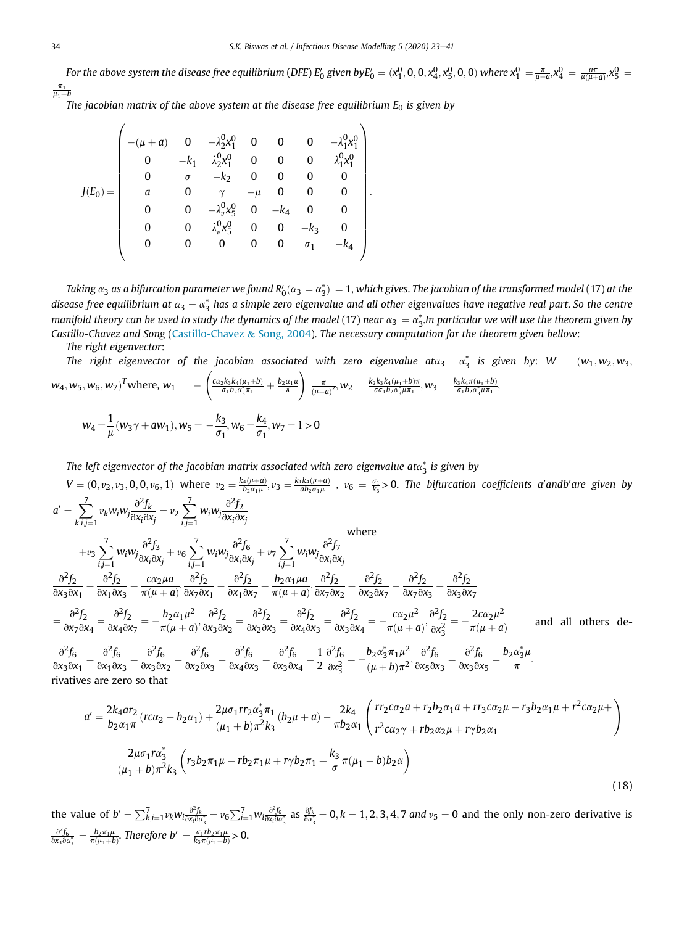For the above system the disease free equilibrium (DFE)  $E_0'$  given by $E_0'=(x_1^0,0,0,x_4^0,x_5^0,0,0)$  where  $x_1^0=\frac{\pi}{\mu+a},x_4^0=\frac{a\pi}{\mu(\mu+a)},x_5^0=\frac{\pi}{\mu+a},x_6^0=\frac{\pi}{\mu+a},x_7^0=\frac{\pi}{\mu+a},x_8^0=\frac{\pi}{\mu+a},x_9^0=\frac{\pi}{\mu+a},x_9^0=\frac{\pi$  $\frac{\pi_1}{\mu_1 + b}$ 

:

*The jacobian matrix of the above system at the disease free equilibrium*  $E_0$  *is given by* 

$$
J(E_0)=\left(\begin{array}{cccccccc} -(\mu+a) & 0 & -\lambda_2^0 x_1^0 & 0 & 0 & 0 & -\lambda_1^0 x_1^0 \\ 0 & -k_1 & \lambda_2^0 x_1^0 & 0 & 0 & 0 & \lambda_1^0 x_1^0 \\ 0 & \sigma & -k_2 & 0 & 0 & 0 & 0 \\ a & 0 & \gamma & -\mu & 0 & 0 & 0 \\ 0 & 0 & -\lambda_\nu^0 x_5^0 & 0 & -k_4 & 0 & 0 \\ 0 & 0 & \lambda_\nu^0 x_5^0 & 0 & 0 & -k_3 & 0 \\ 0 & 0 & 0 & 0 & 0 & \sigma_1 & -k_4 \end{array}\right)
$$

Taking  $\alpha_3$  as a bifurcation parameter we found  $R'_0(\alpha_3=\alpha_3^*)=1$ , which gives. The jacobian of the transformed model (17) at the disease free equilibrium at  $\alpha_3=\alpha_3^*$  has a simple zero eigenvalue and all other eigenvalues have negative real part. So the centre manifold theory can be used to study the dynamics of the model (17) near  $\alpha_3=\alpha_3^*$ .In particular we will use the theorem given by *Castillo-Chavez and Song* (Castillo-Chavez & Song, 2004). *The necessary computation for the theorem given bellow*:

*The right eigenvector*:

The right eigenvector of the jacobian associated with zero eigenvalue at $\alpha_3 = \alpha_3^*$  is given by:  $W = (w_1, w_2, w_3, w_4)$  $w_4, w_5, w_6, w_7$ <sup>T</sup>where,  $w_1 = -\left(\frac{c_{\alpha_2}k_3k_4(\mu_1+b)}{\sigma_1b_2\alpha_3^*\pi_1} + \frac{b_2\alpha_1\mu_2}{\pi}\right)$  $\left(\frac{\pi}{(\mu+\alpha)^2},w_2\right)=\frac{k_2k_3k_4(\mu_1+b)\pi}{\sigma\sigma_1b_2\alpha_3^*\mu\pi_1},w_3\right)=\frac{k_3k_4\pi(\mu_1+b)}{\sigma_1b_2\alpha_3^*\mu\pi_1},$ 

$$
w_4 = \frac{1}{\mu}(w_3\gamma + aw_1), w_5 = -\frac{k_3}{\sigma_1}, w_6 = \frac{k_4}{\sigma_1}, w_7 = 1 > 0
$$

The left eigenvector of the jacobian matrix associated with zero eigenvalue at $\alpha_3^*$  is given by

 $V=(0,v_2,v_3,0,0,v_6,1)$  where  $v_2=\frac{k_4(\mu+a)}{b_2\alpha_1\mu}$ ,  $v_3=\frac{k_1k_4(\mu+a)}{ab_2\alpha_1\mu}$ ,  $v_6=\frac{\sigma_1}{k_3}>0$ . The bifurcation coefficients a'andb'are given by  $a' = \sum_{i=1}^{7} a_i$  $\sum_{k,i,j=1}^{7} v_k w_i w_j \frac{\partial^2 f_k}{\partial x_i \partial x_j}$  $\frac{\partial^2 f_k}{\partial x_i \partial x_j} = v_2 \sum_{i,j=1}^7$  $\sum_{i,j=1}^7 w_i w_j \frac{\partial^2 f_2}{\partial x_i \partial x_j}$  $\overline{\partial x_i \partial x_j}$  $+v_3 \sum_{i=1}^{7} w_i w_j \frac{\partial^2 f_3}{\partial x_i \partial y_i}$  $\frac{\partial^2 f_3}{\partial x_i \partial x_j} + v_6 \sum_{i,j=1}^7 w_i w_j \frac{\partial^2 f_6}{\partial x_i \partial x_j}$  $\frac{\partial^2 f_6}{\partial x_i \partial x_j} + v_7 \sum_{i,j=1}^7 w_i w_j \frac{\partial^2 f_7}{\partial x_i \partial x_j}$ where

$$
+v_3 \sum_{i,j=1}^{N} w_i w_j \frac{1}{\partial x_i \partial x_j} + v_6 \sum_{i,j=1}^{N} w_i w_j \frac{1}{\partial x_i \partial x_j} + v_7 \sum_{i,j=1}^{N} w_i w_j \frac{1}{\partial x_i \partial x_j}
$$

$$
\frac{\partial^2 f_2}{\partial x_3 \partial x_1} = \frac{\partial^2 f_2}{\partial x_1 \partial x_3} = \frac{c \alpha_2 \mu a}{\pi(\mu + a)}, \frac{\partial^2 f_2}{\partial x_7 \partial x_1} = \frac{b_2 \alpha_1 \mu a}{\pi(\mu + a)}, \frac{\partial^2 f_2}{\partial x_7 \partial x_2} = \frac{\partial^2 f_2}{\partial x_2 \partial x_7} = \frac{\partial^2 f_2}{\partial x_3 \partial x_7} = \frac{\partial^2 f_2}{\partial x_3 \partial x_7}
$$

$$
=\frac{\partial^2 f_2}{\partial x_7 \partial x_4} = \frac{\partial^2 f_2}{\partial x_4 \partial x_7} = -\frac{b_2 \alpha_1 \mu^2}{\pi(\mu + a)}, \frac{\partial^2 f_2}{\partial x_3 \partial x_2} = \frac{\partial^2 f_2}{\partial x_2 \partial x_3} = \frac{\partial^2 f_2}{\partial x_4 \partial x_3} = \frac{\partial^2 f_2}{\partial x_3 \partial x_4} = -\frac{c \alpha_2 \mu^2}{\pi(\mu + a)}, \frac{\partial^2 f_2}{\partial x_3^2} = -\frac{2c \alpha_2 \mu^2}{\pi(\mu + a)} \quad \text{and all others de-
$$

 $\partial^2 f_6$  $rac{\partial^2 f_6}{\partial x_3 \partial x_1} = \frac{\partial^2 f_6}{\partial x_1 \partial x_2}$  $rac{\partial^2 f_6}{\partial x_1 \partial x_3} = \frac{\partial^2 f_6}{\partial x_3 \partial x_3}$  $rac{\partial^2 f_6}{\partial x_3 \partial x_2} = \frac{\partial^2 f_6}{\partial x_2 \partial x_3}$  $rac{\partial^2 f_6}{\partial x_2 \partial x_3} = \frac{\partial^2 f_6}{\partial x_4 \partial x_5}$  $rac{\partial^2 f_6}{\partial x_4 \partial x_3} = \frac{\partial^2 f_6}{\partial x_3 \partial x_3}$  $\frac{\partial^2 f_6}{\partial x_3 \partial x_4} = \frac{1}{2}$ 2  $\partial^2 f_6$  $\partial x_3^2$  $=-\frac{b_2\alpha_3^* \pi_1 \mu^2}{(b_2-b_1)^2}$  $rac{b_2\alpha_3^*\pi_1\mu^2}{(\mu+b)\pi^2}, \frac{\partial^2 f_6}{\partial x_5\partial x}$  $rac{\partial^2 f_6}{\partial x_5 \partial x_3} = \frac{\partial^2 f_6}{\partial x_3 \partial x_3}$  $\frac{\partial^2 f_6}{\partial x_3 \partial x_5} = \frac{b_2 \alpha_3^* \mu}{\pi}$  $rac{\pi}{\pi}$ . rivatives are zero so that

$$
a' = \frac{2k_4ar_2}{b_2\alpha_1\pi}(r\alpha_2 + b_2\alpha_1) + \frac{2\mu\sigma_1rr_2\alpha_3^* \pi_1}{(\mu_1 + b)\pi^2 k_3}(b_2\mu + a) - \frac{2k_4}{\pi b_2\alpha_1} \left(\frac{rr_2c\alpha_2a + r_2b_2\alpha_1a + rr_3c\alpha_2\mu + r_3b_2\alpha_1\mu + r^2c\alpha_2\mu + r_4b_2\alpha_1}{r^2c\alpha_2\gamma + rb_2\alpha_2\mu + r_1\gamma b_2\alpha_1}\right)
$$

$$
\frac{2\mu\sigma_1r\alpha_3^*}{(\mu_1 + b)\pi^2 k_3} \left(r_3b_2\pi_1\mu + rb_2\pi_1\mu + r_1\gamma b_2\pi_1 + \frac{k_3}{\sigma}\pi(\mu_1 + b)b_2\alpha\right)
$$
(18)

the value of  $b' = \sum_{k,i=1}^{7} v_k w_{i\frac{\partial^2 f_k}{\partial x_i \partial \alpha_3^*}} = v_6 \sum_{i=1}^{7} w_{i\frac{\partial^2 f_6}{\partial x_i \partial \alpha_3^*}}$  as  $\frac{\partial f_k}{\partial \alpha_3^*} = 0, k = 1, 2, 3, 4, 7$  and  $v_5 = 0$  and the only non-zero derivative is  $rac{\partial^2 f_6}{\partial x_3 \partial \alpha_3^*} = \frac{b_2 \pi_1 \mu}{\pi(\mu_1 + b)}$ . Therefore  $b' = \frac{\sigma_1 r b_2 \pi_1 \mu}{k_3 \pi(\mu_1 + b)} > 0$ .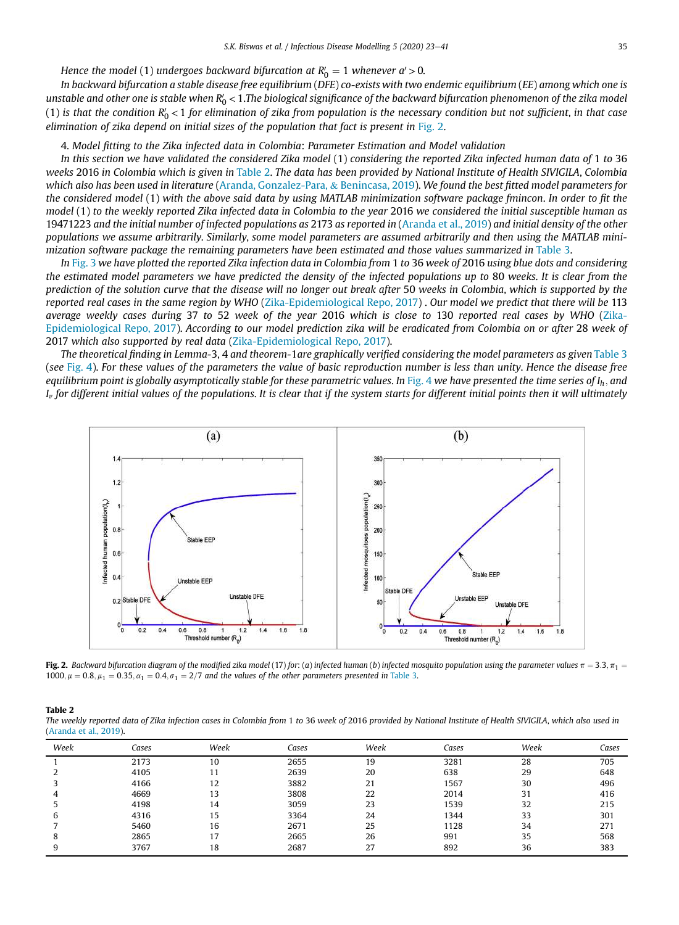Hence the model  $(1)$  undergoes backward bifurcation at  $R'_0 = 1$  whenever  $a'$   $>$   $0$ .

*In backward bifurcation a stable disease free equilibrium* (*DFE*) *co-exists with two endemic equilibrium* (*EE*) *among which one is* unstable and other one is stable when R'<sub>0</sub> < 1.The biological significance of the backward bifurcation phenomenon of the zika model (1) is that the condition R'<sub>0</sub> < 1 for elimination of zika from population is the necessary condition but not sufficient, in that case *elimination of zika depend on initial sizes of the population that fact is present in* Fig. 2.

#### 4. *Model* fi*tting to the Zika infected data in Colombia*: *Parameter Estimation and Model validation*

*In this section we have validated the considered Zika model* (1) *considering the reported Zika infected human data of* 1 *to* 36 *weeks* 2016 *in Colombia which is given in* Table 2. *The data has been provided by National Institute of Health SIVIGILA*, *Colombia which also has been used in literature* (Aranda, Gonzalez-Para, & Benincasa, 2019). *We found the best* fi*tted model parameters for the considered model* (1) *with the above said data by using MATLAB minimization software package fmincon*. *In order to* fi*t the model* (1) *to the weekly reported Zika infected data in Colombia to the year* 2016 *we considered the initial susceptible human as* 19471223 *and the initial number of infected populations as* 2173 *as reported in* (Aranda et al., 2019) *and initial density of the other populations we assume arbitrarily*. *Similarly*, *some model parameters are assumed arbitrarily and then using the MATLAB minimization software package the remaining parameters have been estimated and those values summarized in* Table 3.

*In* Fig. 3 *we have plotted the reported Zika infection data in Colombia from* 1 *to* 36 *week of* 2016 *using blue dots and considering the estimated model parameters we have predicted the density of the infected populations up to* 80 *weeks*. *It is clear from the prediction of the solution curve that the disease will no longer out break after* 50 *weeks in Colombia*, *which is supported by the reported real cases in the same region by WHO* (Zika-Epidemiological Repo, 2017) . *Our model we predict that there will be* 113 *average weekly cases during* 37 *to* 52 *week of the year* 2016 *which is close to* 130 *reported real cases by WHO* (Zika-Epidemiological Repo, 2017). *According to our model prediction zika will be eradicated from Colombia on or after* 28 *week of* 2017 *which also supported by real data* (Zika-Epidemiological Repo, 2017).

*The theoretical* fi*nding in Lemma-*3, 4 *and theorem-*1*are graphically veri*fi*ed considering the model parameters as given* Table 3 (*see* Fig. 4). *For these values of the parameters the value of basic reproduction number is less than unity*. *Hence the disease free equilibrium point is globally asymptotically stable for these parametric values*. *In* Fig. 4 *we have presented the time series of I<sup>h</sup>* ; *and I*v *for different initial values of the populations*. *It is clear that if the system starts for different initial points then it will ultimately*



Fig. 2. Backward bifurcation diagram of the modified zika model (17) for: (a) infected human (b) infected mosquito population using the parameter values  $\pi = 3.3$ ,  $\pi_1 =$ 1000;  $\mu = 0.8$ ;  $\mu_1 = 0.35$ ;  $\alpha_1 = 0.4$ ,  $\sigma_1 = 2/7$  and the values of the other parameters presented in Table 3.

|--|--|

*The weekly reported data of Zika infection cases in Colombia from* 1 *to* 36 *week of* 2016 *provided by National Institute of Health SIVIGILA*, *which also used in* (Aranda et al., 2019).

| Week | Cases | Week | Cases | Week | Cases | Week | Cases |
|------|-------|------|-------|------|-------|------|-------|
|      | 2173  | 10   | 2655  | 19   | 3281  | 28   | 705   |
|      | 4105  |      | 2639  | 20   | 638   | 29   | 648   |
|      | 4166  | 12   | 3882  | 21   | 1567  | 30   | 496   |
| 4    | 4669  | 13   | 3808  | 22   | 2014  | 31   | 416   |
|      | 4198  | 14   | 3059  | 23   | 1539  | 32   | 215   |
| b    | 4316  | 15   | 3364  | 24   | 1344  | 33   | 301   |
|      | 5460  | 16   | 2671  | 25   | 1128  | 34   | 271   |
| 8    | 2865  | 17   | 2665  | 26   | 991   | 35   | 568   |
|      | 3767  | 18   | 2687  | 27   | 892   | 36   | 383   |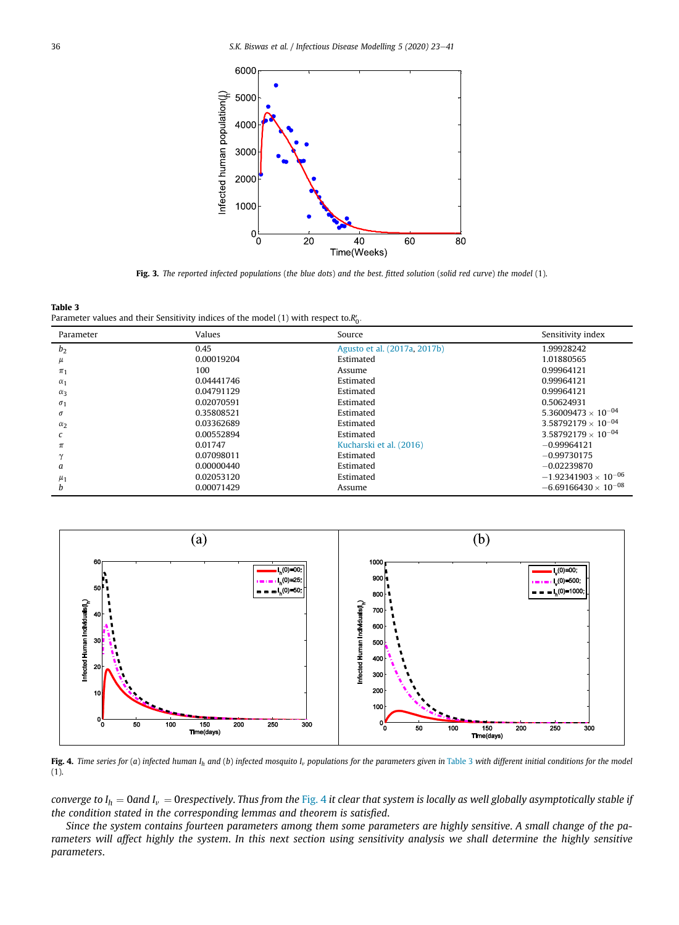

Fig. 3. *The reported infected populations* (*the blue dots*) *and the best*. fi*tted solution* (*solid red curve*) *the model* (1).



| Parameter      | Values     | Source                       | Sensitivity index             |
|----------------|------------|------------------------------|-------------------------------|
| b <sub>2</sub> | 0.45       | Agusto et al. (2017a, 2017b) | 1.99928242                    |
| μ              | 0.00019204 | Estimated                    | 1.01880565                    |
| $\pi_1$        | 100        | Assume                       | 0.99964121                    |
| $\alpha_1$     | 0.04441746 | Estimated                    | 0.99964121                    |
| $\alpha_3$     | 0.04791129 | Estimated                    | 0.99964121                    |
| $\sigma_1$     | 0.02070591 | Estimated                    | 0.50624931                    |
| $\sigma$       | 0.35808521 | Estimated                    | $5.36009473 \times 10^{-04}$  |
| $\alpha_2$     | 0.03362689 | Estimated                    | $3.58792179 \times 10^{-04}$  |
|                | 0.00552894 | Estimated                    | $3.58792179 \times 10^{-04}$  |
| $\pi$          | 0.01747    | Kucharski et al. (2016)      | $-0.99964121$                 |
| $\gamma$       | 0.07098011 | Estimated                    | $-0.99730175$                 |
| a              | 0.00000440 | Estimated                    | $-0.02239870$                 |
| $\mu_1$        | 0.02053120 | Estimated                    | $-1.92341903 \times 10^{-06}$ |
| h              | 0.00071429 | Assume                       | $-6.69166430 \times 10^{-08}$ |



Fig. 4. Time series for (a) infected human  $I_h$  and (b) infected mosquito  $I_v$  populations for the parameters given in Table 3 with different initial conditions for the model (1).

*converge to*  $I_h$  *= 0and*  $I_v$  *= 0respectively. Thus from the Fig. 4 it clear that system is locally as well globally asymptotically stable if the condition stated in the corresponding lemmas and theorem is satis*fi*ed*.

*Since the system contains fourteen parameters among them some parameters are highly sensitive*. *A small change of the parameters will affect highly the system*. *In this next section using sensitivity analysis we shall determine the highly sensitive parameters*.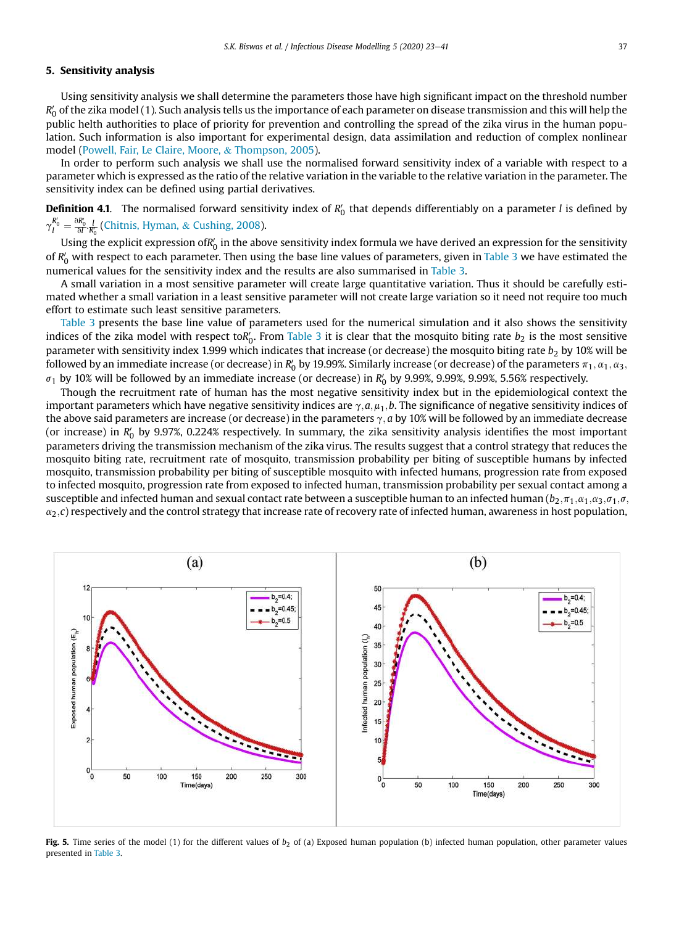## 5. Sensitivity analysis

Using sensitivity analysis we shall determine the parameters those have high significant impact on the threshold number *R'<sub>0</sub> of the zika model (1). Such analysis tells us the importance of each parameter on disease transmission and this will help the* public helth authorities to place of priority for prevention and controlling the spread of the zika virus in the human population. Such information is also important for experimental design, data assimilation and reduction of complex nonlinear model (Powell, Fair, Le Claire, Moore, & Thompson, 2005).

In order to perform such analysis we shall use the normalised forward sensitivity index of a variable with respect to a parameter which is expressed as the ratio of the relative variation in the variable to the relative variation in the parameter. The sensitivity index can be defined using partial derivatives.

Definition 4.1. The normalised forward sensitivity index of *R* 0 0 that depends differentiably on a parameter *l* is defined by  $\gamma_{l}^{R_{0}^{\prime}}=\frac{\partial R_{0}^{\prime}}{\partial l}\frac{l}{R_{0}^{\prime}}$  (Chitnis, Hyman, & Cushing, 2008).

Using the explicit expression ofR'<sub>0</sub> in the above sensitivity index formula we have derived an expression for the sensitivity of *R'<sub>0</sub>* with respect to each parameter. Then using the base line values of parameters, given in Table 3 we have estimated the numerical values for the sensitivity index and the results are also summarised in Table 3.

A small variation in a most sensitive parameter will create large quantitative variation. Thus it should be carefully estimated whether a small variation in a least sensitive parameter will not create large variation so it need not require too much effort to estimate such least sensitive parameters.

Table 3 presents the base line value of parameters used for the numerical simulation and it also shows the sensitivity indices of the zika model with respect to $R'_0$ . From Table 3 it is clear that the mosquito biting rate  $b_2$  is the most sensitive parameter with sensitivity index 1.999 which indicates that increase (or decrease) the mosquito biting rate  $b_2$  by 10% will be followed by an immediate increase (or decrease) in  $R_0'$  by 19.99%. Similarly increase (or decrease) of the parameters  $\pi_1,\alpha_1,\alpha_3,\alpha_4$  $\sigma_1$  by 10% will be followed by an immediate increase (or decrease) in  $R'_0$  by 9.99%, 9.99%, 9.99%, 5.56% respectively.

Though the recruitment rate of human has the most negative sensitivity index but in the epidemiological context the important parameters which have negative sensitivity indices are  $\gamma$ , $a,\mu_1,b$ . The significance of negative sensitivity indices of the above said parameters are increase (or decrease) in the parameters  $\gamma$ , *a* by 10% will be followed by an immediate decrease (or increase) in R<sub>0</sub> by 9.97%, 0.224% respectively. In summary, the zika sensitivity analysis identifies the most important parameters driving the transmission mechanism of the zika virus. The results suggest that a control strategy that reduces the mosquito biting rate, recruitment rate of mosquito, transmission probability per biting of susceptible humans by infected mosquito, transmission probability per biting of susceptible mosquito with infected humans, progression rate from exposed to infected mosquito, progression rate from exposed to infected human, transmission probability per sexual contact among a susceptible and infected human and sexual contact rate between a susceptible human to an infected human ( $b_2$ , $\pi_1$ , $\alpha_1$ , $\alpha_3$ , $\sigma_1$ , $\sigma$ ,  $\alpha_2$ ,*c*) respectively and the control strategy that increase rate of recovery rate of infected human, awareness in host population,



Fig. 5. Time series of the model (1) for the different values of *b*<sub>2</sub> of (a) Exposed human population (b) infected human population, other parameter values presented in Table 3.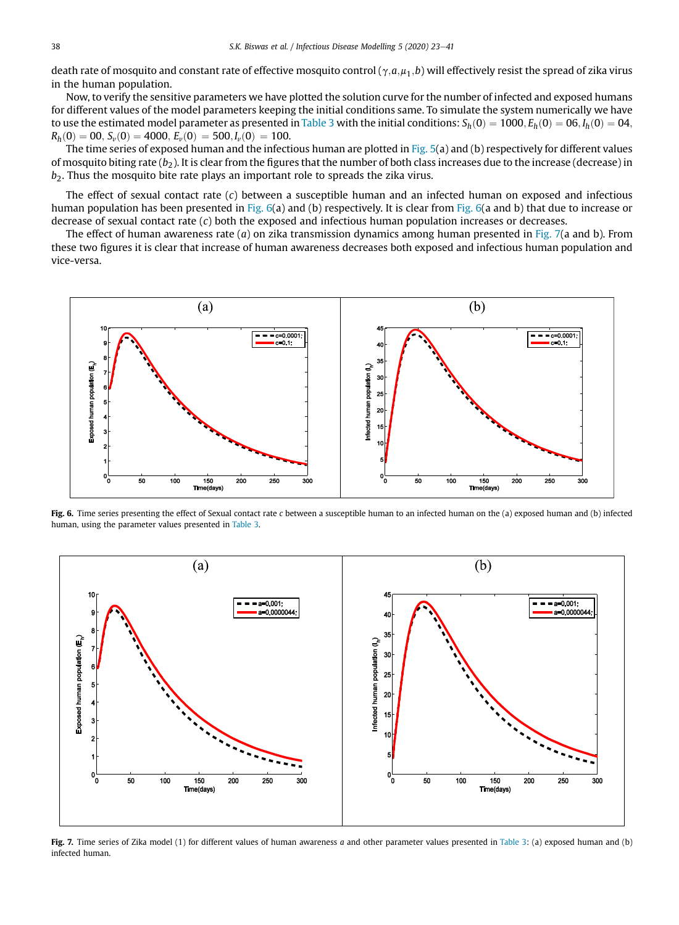death rate of mosquito and constant rate of effective mosquito control ( $\gamma$ , $a$ , $\mu_1$ , $b$ ) will effectively resist the spread of zika virus in the human population.

Now, to verify the sensitive parameters we have plotted the solution curve for the number of infected and exposed humans for different values of the model parameters keeping the initial conditions same. To simulate the system numerically we have to use the estimated model parameter as presented in Table 3 with the initial conditions:  $S_h(0)=1000$ ,  $E_h(0)=06$ ,  $I_h(0)=04$ ,  $R_h(0) = 00, S_v(0) = 4000, E_v(0) = 500, I_v(0) = 100.$ 

The time series of exposed human and the infectious human are plotted in Fig. 5(a) and (b) respectively for different values of mosquito biting rate  $(b_2)$ . It is clear from the figures that the number of both class increases due to the increase (decrease) in  $b<sub>2</sub>$ . Thus the mosquito bite rate plays an important role to spreads the zika virus.

The effect of sexual contact rate (*c*) between a susceptible human and an infected human on exposed and infectious human population has been presented in Fig. 6(a) and (b) respectively. It is clear from Fig. 6(a and b) that due to increase or decrease of sexual contact rate (*c*) both the exposed and infectious human population increases or decreases.

The effect of human awareness rate (*a*) on zika transmission dynamics among human presented in Fig. 7(a and b). From these two figures it is clear that increase of human awareness decreases both exposed and infectious human population and vice-versa.



Fig. 6. Time series presenting the effect of Sexual contact rate *c* between a susceptible human to an infected human on the (a) exposed human and (b) infected human, using the parameter values presented in Table 3.



Fig. 7. Time series of Zika model (1) for different values of human awareness *a* and other parameter values presented in Table 3: (a) exposed human and (b) infected human.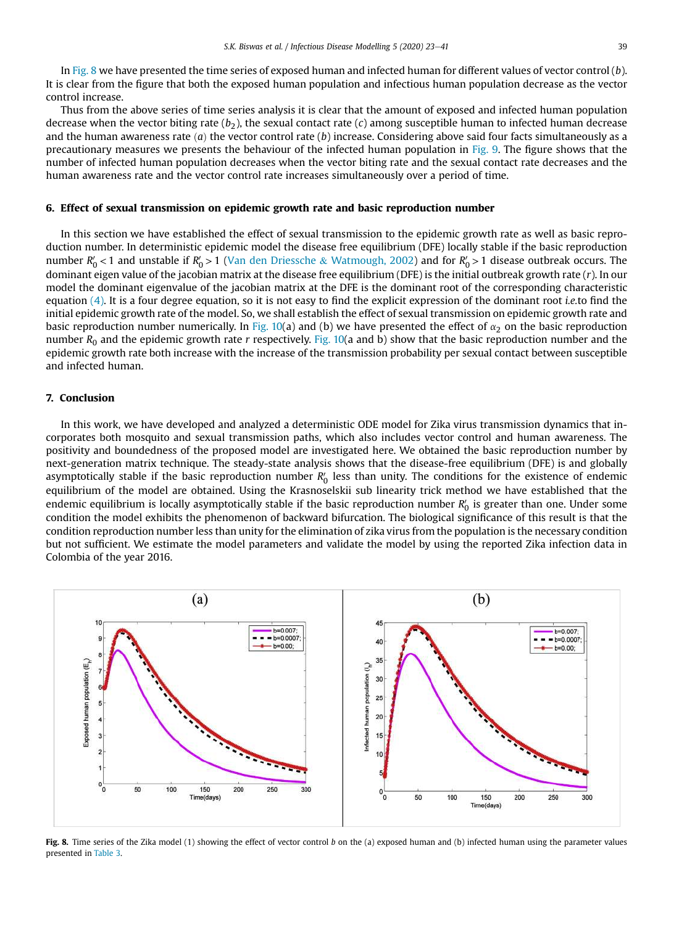In Fig. 8 we have presented the time series of exposed human and infected human for different values of vector control (*b*). It is clear from the figure that both the exposed human population and infectious human population decrease as the vector control increase.

Thus from the above series of time series analysis it is clear that the amount of exposed and infected human population decrease when the vector biting rate  $(b_2)$ , the sexual contact rate  $(c)$  among susceptible human to infected human decrease and the human awareness rate  $(a)$  the vector control rate  $(b)$  increase. Considering above said four facts simultaneously as a precautionary measures we presents the behaviour of the infected human population in Fig. 9. The figure shows that the number of infected human population decreases when the vector biting rate and the sexual contact rate decreases and the human awareness rate and the vector control rate increases simultaneously over a period of time.

### 6. Effect of sexual transmission on epidemic growth rate and basic reproduction number

In this section we have established the effect of sexual transmission to the epidemic growth rate as well as basic reproduction number. In deterministic epidemic model the disease free equilibrium (DFE) locally stable if the basic reproduction number  $R'_0$  < 1 and unstable if  $R'_0$  > 1 (Van den Driessche & Watmough, 2002) and for  $R'_0$  > 1 disease outbreak occurs. The dominant eigen value of the jacobian matrix at the disease free equilibrium (DFE) is the initial outbreak growth rate (*r*). In our model the dominant eigenvalue of the jacobian matrix at the DFE is the dominant root of the corresponding characteristic equation (4). It is a four degree equation, so it is not easy to find the explicit expression of the dominant root *i.e.*to find the initial epidemic growth rate of the model. So, we shall establish the effect of sexual transmission on epidemic growth rate and basic reproduction number numerically. In Fig. 10(a) and (b) we have presented the effect of  $\alpha_2$  on the basic reproduction number  $R_0$  and the epidemic growth rate *r* respectively. Fig. 10(a and b) show that the basic reproduction number and the epidemic growth rate both increase with the increase of the transmission probability per sexual contact between susceptible and infected human.

## 7. Conclusion

In this work, we have developed and analyzed a deterministic ODE model for Zika virus transmission dynamics that incorporates both mosquito and sexual transmission paths, which also includes vector control and human awareness. The positivity and boundedness of the proposed model are investigated here. We obtained the basic reproduction number by next-generation matrix technique. The steady-state analysis shows that the disease-free equilibrium (DFE) is and globally asymptotically stable if the basic reproduction number  $R'_0$  less than unity. The conditions for the existence of endemic equilibrium of the model are obtained. Using the Krasnoselskii sub linearity trick method we have established that the endemic equilibrium is locally asymptotically stable if the basic reproduction number  $R_0^\prime$  is greater than one. Under some condition the model exhibits the phenomenon of backward bifurcation. The biological significance of this result is that the condition reproduction number less than unity for the elimination of zika virus from the population is the necessary condition but not sufficient. We estimate the model parameters and validate the model by using the reported Zika infection data in Colombia of the year 2016.



Fig. 8. Time series of the Zika model (1) showing the effect of vector control *b* on the (a) exposed human and (b) infected human using the parameter values presented in Table 3.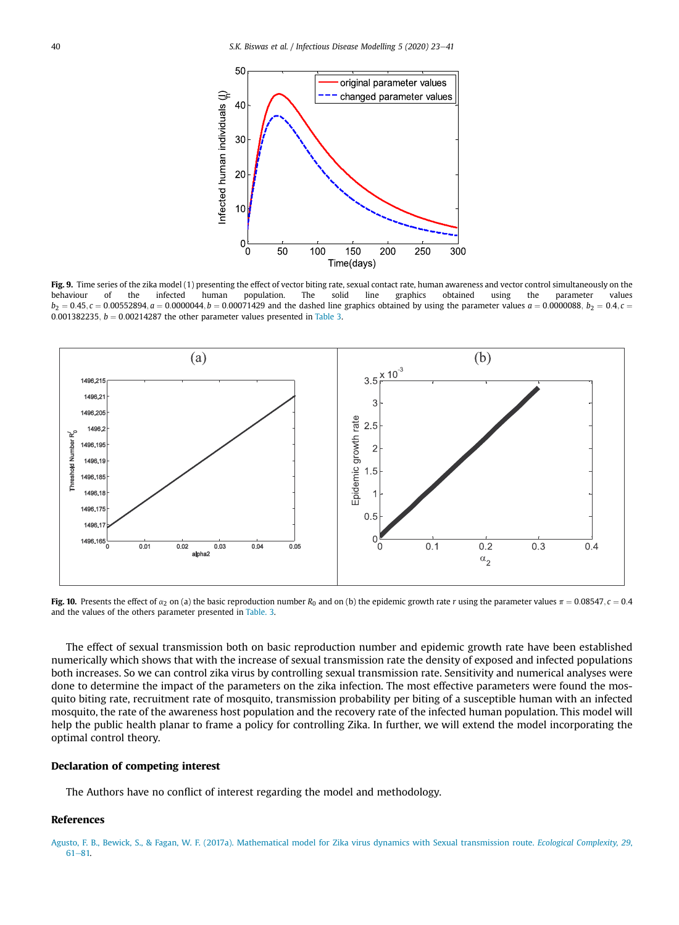

Fig. 9. Time series of the zika model (1) presenting the effect of vector biting rate, sexual contact rate, human awareness and vector control simultaneously on the behaviour of the infected human population. The solid line graphics obtained using the parameter values  $b_2 = 0.45$ ,  $c = 0.00552894$ ,  $a = 0.0000044$ ,  $b = 0.00071429$  and the dashed line graphics obtained by using the parameter values  $a = 0.0000088$ ,  $b_2 = 0.4$ ,  $c = 0.0000088$ 0.001382235,  $b = 0.00214287$  the other parameter values presented in Table 3.



Fig. 10. Presents the effect of  $\alpha_2$  on (a) the basic reproduction number  $R_0$  and on (b) the epidemic growth rate *r* using the parameter values  $\pi = 0.08547$ ,  $c = 0.4$ and the values of the others parameter presented in Table. 3.

The effect of sexual transmission both on basic reproduction number and epidemic growth rate have been established numerically which shows that with the increase of sexual transmission rate the density of exposed and infected populations both increases. So we can control zika virus by controlling sexual transmission rate. Sensitivity and numerical analyses were done to determine the impact of the parameters on the zika infection. The most effective parameters were found the mosquito biting rate, recruitment rate of mosquito, transmission probability per biting of a susceptible human with an infected mosquito, the rate of the awareness host population and the recovery rate of the infected human population. This model will help the public health planar to frame a policy for controlling Zika. In further, we will extend the model incorporating the optimal control theory.

### Declaration of competing interest

The Authors have no conflict of interest regarding the model and methodology.

## References

Agusto, F. B., Bewick, S., & Fagan, W. F. (2017a). Mathematical model for Zika virus dynamics with Sexual transmission route. *Ecological Complexity, 29*,  $61 - 81$ .